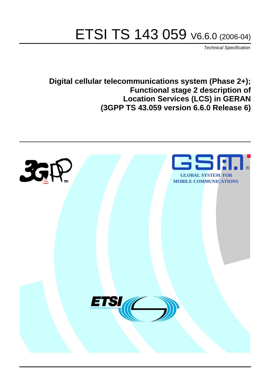# ETSI TS 143 059 V6.6.0 (2006-04)

Technical Specification

**Digital cellular telecommunications system (Phase 2+); Functional stage 2 description of Location Services (LCS) in GERAN (3GPP TS 43.059 version 6.6.0 Release 6)**

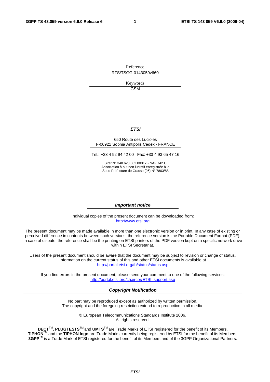Reference RTS/TSGG-0143059v660

> Keywords GSM

#### **ETSI**

#### 650 Route des Lucioles F-06921 Sophia Antipolis Cedex - FRANCE

Tel.: +33 4 92 94 42 00 Fax: +33 4 93 65 47 16

Siret N° 348 623 562 00017 - NAF 742 C Association à but non lucratif enregistrée à la Sous-Préfecture de Grasse (06) N° 7803/88

#### **Important notice**

Individual copies of the present document can be downloaded from: [http://www.etsi.org](http://www.etsi.org/)

The present document may be made available in more than one electronic version or in print. In any case of existing or perceived difference in contents between such versions, the reference version is the Portable Document Format (PDF). In case of dispute, the reference shall be the printing on ETSI printers of the PDF version kept on a specific network drive within ETSI Secretariat.

Users of the present document should be aware that the document may be subject to revision or change of status. Information on the current status of this and other ETSI documents is available at <http://portal.etsi.org/tb/status/status.asp>

If you find errors in the present document, please send your comment to one of the following services: [http://portal.etsi.org/chaircor/ETSI\\_support.asp](http://portal.etsi.org/chaircor/ETSI_support.asp)

#### **Copyright Notification**

No part may be reproduced except as authorized by written permission. The copyright and the foregoing restriction extend to reproduction in all media.

> © European Telecommunications Standards Institute 2006. All rights reserved.

**DECT**TM, **PLUGTESTS**TM and **UMTS**TM are Trade Marks of ETSI registered for the benefit of its Members. **TIPHON**TM and the **TIPHON logo** are Trade Marks currently being registered by ETSI for the benefit of its Members. **3GPP**TM is a Trade Mark of ETSI registered for the benefit of its Members and of the 3GPP Organizational Partners.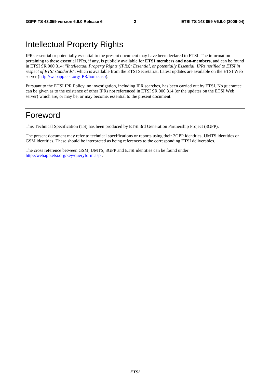## Intellectual Property Rights

IPRs essential or potentially essential to the present document may have been declared to ETSI. The information pertaining to these essential IPRs, if any, is publicly available for **ETSI members and non-members**, and can be found in ETSI SR 000 314: *"Intellectual Property Rights (IPRs); Essential, or potentially Essential, IPRs notified to ETSI in respect of ETSI standards"*, which is available from the ETSI Secretariat. Latest updates are available on the ETSI Web server ([http://webapp.etsi.org/IPR/home.asp\)](http://webapp.etsi.org/IPR/home.asp).

Pursuant to the ETSI IPR Policy, no investigation, including IPR searches, has been carried out by ETSI. No guarantee can be given as to the existence of other IPRs not referenced in ETSI SR 000 314 (or the updates on the ETSI Web server) which are, or may be, or may become, essential to the present document.

## Foreword

This Technical Specification (TS) has been produced by ETSI 3rd Generation Partnership Project (3GPP).

The present document may refer to technical specifications or reports using their 3GPP identities, UMTS identities or GSM identities. These should be interpreted as being references to the corresponding ETSI deliverables.

The cross reference between GSM, UMTS, 3GPP and ETSI identities can be found under <http://webapp.etsi.org/key/queryform.asp>.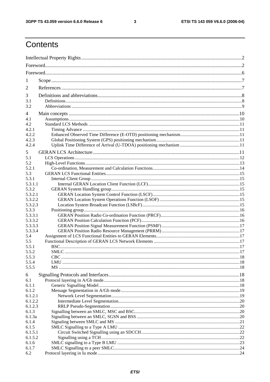$\mathbf{3}$ 

## Contents

| 1                  |  |  |  |  |
|--------------------|--|--|--|--|
| 2                  |  |  |  |  |
| 3                  |  |  |  |  |
| 3.1                |  |  |  |  |
| 3.2                |  |  |  |  |
| 4                  |  |  |  |  |
| 4.1                |  |  |  |  |
| 4.2                |  |  |  |  |
| 4.2.1              |  |  |  |  |
| 4.2.2              |  |  |  |  |
| 4.2.3              |  |  |  |  |
| 4.2.4              |  |  |  |  |
| 5                  |  |  |  |  |
| 5.1                |  |  |  |  |
| 5.2                |  |  |  |  |
| 5.2.1              |  |  |  |  |
| 5.3<br>5.3.1       |  |  |  |  |
| 5.3.1.1            |  |  |  |  |
| 5.3.2              |  |  |  |  |
| 5.3.2.1            |  |  |  |  |
| 5.3.2.2            |  |  |  |  |
| 5.3.2.3            |  |  |  |  |
| 5.3.3              |  |  |  |  |
| 5.3.3.1            |  |  |  |  |
| 5.3.3.2            |  |  |  |  |
| 5.3.3.3<br>5.3.3.4 |  |  |  |  |
| 5.4                |  |  |  |  |
| 5.5                |  |  |  |  |
| 5.5.1              |  |  |  |  |
| 5.5.2              |  |  |  |  |
| 5.5.3              |  |  |  |  |
| 5.5.4              |  |  |  |  |
| 5.5.5              |  |  |  |  |
| 6                  |  |  |  |  |
| 6.1                |  |  |  |  |
| 6.1.1<br>6.1.2     |  |  |  |  |
| 6.1.2.1            |  |  |  |  |
| 6.1.2.2            |  |  |  |  |
| 6.1.2.3            |  |  |  |  |
| 6.1.3              |  |  |  |  |
| 6.1.3a             |  |  |  |  |
| 6.1.4              |  |  |  |  |
| 6.1.5              |  |  |  |  |
| 6.1.5.1<br>6.1.5.2 |  |  |  |  |
| 6.1.6              |  |  |  |  |
| 6.1.7              |  |  |  |  |
| 6.2                |  |  |  |  |
|                    |  |  |  |  |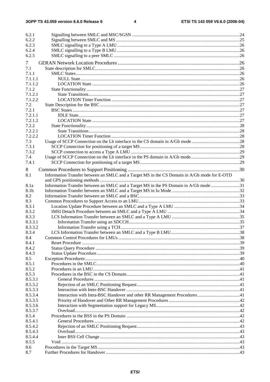| 6.2.1   |                                                                                              |  |
|---------|----------------------------------------------------------------------------------------------|--|
| 6.2.2   |                                                                                              |  |
| 6.2.3   |                                                                                              |  |
| 6.2.4   |                                                                                              |  |
| 6.2.5   |                                                                                              |  |
|         |                                                                                              |  |
| 7       |                                                                                              |  |
| 7.1     |                                                                                              |  |
| 7.1.1   |                                                                                              |  |
| 7.1.1.1 |                                                                                              |  |
| 7.1.1.2 |                                                                                              |  |
| 7.1.2   |                                                                                              |  |
| 7.1.2.1 |                                                                                              |  |
| 7.1.2.2 |                                                                                              |  |
| 7.2     |                                                                                              |  |
| 7.2.1   |                                                                                              |  |
| 7.2.1.1 |                                                                                              |  |
| 7.2.1.2 |                                                                                              |  |
| 7.2.2   |                                                                                              |  |
| 7.2.2.1 |                                                                                              |  |
| 7.2.2.2 |                                                                                              |  |
| 7.3     |                                                                                              |  |
| 7.3.1   |                                                                                              |  |
| 7.3.2   |                                                                                              |  |
| 7.4     |                                                                                              |  |
| 7.4.1   |                                                                                              |  |
| 8       |                                                                                              |  |
| 8.1     | Information Transfer between an SMLC and a Target MS in the CS Domain in A/Gb mode for E-OTD |  |
|         |                                                                                              |  |
| 8.1a    | Information Transfer between an SMLC and a Target MS in the PS Domain in A/Gb mode 31        |  |
| 8.1b    |                                                                                              |  |
| 8.2     |                                                                                              |  |
| 8.3     |                                                                                              |  |
| 8.3.1   |                                                                                              |  |
| 8.3.2   |                                                                                              |  |
| 8.3.3   |                                                                                              |  |
| 8.3.3.1 |                                                                                              |  |
| 8.3.3.2 |                                                                                              |  |
| 8.3.4   |                                                                                              |  |
| 8.4     |                                                                                              |  |
| 8.4.1   |                                                                                              |  |
| 8.4.2   |                                                                                              |  |
| 8.4.3   |                                                                                              |  |
| 8.5     |                                                                                              |  |
| 8.5.1   |                                                                                              |  |
| 8.5.2   |                                                                                              |  |
| 8.5.3   |                                                                                              |  |
| 8.5.3.1 |                                                                                              |  |
| 8.5.3.2 |                                                                                              |  |
| 8.5.3.3 |                                                                                              |  |
| 8.5.3.4 |                                                                                              |  |
| 8.5.3.5 |                                                                                              |  |
| 8.5.3.6 |                                                                                              |  |
| 8.5.3.7 |                                                                                              |  |
| 8.5.4   |                                                                                              |  |
| 8.5.4.1 |                                                                                              |  |
| 8.5.4.2 |                                                                                              |  |
| 8.5.4.3 |                                                                                              |  |
| 8.5.4.4 |                                                                                              |  |
| 8.5.5   |                                                                                              |  |
| 8.6     |                                                                                              |  |
| 8.7     |                                                                                              |  |
|         |                                                                                              |  |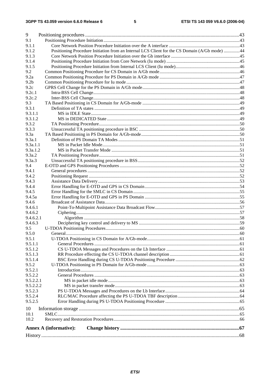| 9                |                                                                                               |  |
|------------------|-----------------------------------------------------------------------------------------------|--|
| 9.1              |                                                                                               |  |
| 9.1.1            |                                                                                               |  |
| 9.1.2            | Positioning Procedure Initiation from an Internal LCS Client for the CS Domain (A/Gb mode) 44 |  |
| 9.1.3            |                                                                                               |  |
| 9.1.4            |                                                                                               |  |
| 9.1.5            |                                                                                               |  |
| 9.2              |                                                                                               |  |
| 9.2a             |                                                                                               |  |
| 9.2 <sub>b</sub> |                                                                                               |  |
| 9.2c             |                                                                                               |  |
| 9.2c.1           |                                                                                               |  |
| 9.2c.2           |                                                                                               |  |
| 9.3              |                                                                                               |  |
| 9.3.1            |                                                                                               |  |
| 9.3.1.1          |                                                                                               |  |
| 9.3.1.2          |                                                                                               |  |
| 9.3.2            |                                                                                               |  |
| 9.3.3            |                                                                                               |  |
| 9.3a             |                                                                                               |  |
| 9.3a.1           |                                                                                               |  |
| 9.3a.1.1         |                                                                                               |  |
| 9.3a.1.2         |                                                                                               |  |
| 9.3a.2           |                                                                                               |  |
| 9.3a.3           |                                                                                               |  |
| 9.4              |                                                                                               |  |
| 9.4.1            |                                                                                               |  |
| 9.4.2            |                                                                                               |  |
| 9.4.3            |                                                                                               |  |
| 9.4.4            |                                                                                               |  |
| 9.4.5<br>9.4.5a  |                                                                                               |  |
| 9.4.6            |                                                                                               |  |
| 9.4.6.1          |                                                                                               |  |
| 9.4.6.2          |                                                                                               |  |
| 9.4.6.2.1        |                                                                                               |  |
| 9.4.6.3          |                                                                                               |  |
| 9.5              |                                                                                               |  |
| 9.5.0            | General                                                                                       |  |
| 9.5.1            |                                                                                               |  |
| 9.5.1.1          |                                                                                               |  |
| 9.5.1.2          |                                                                                               |  |
| 9.5.1.3          |                                                                                               |  |
| 9.5.1.4          |                                                                                               |  |
| 9.5.2            |                                                                                               |  |
| 9.5.2.1          |                                                                                               |  |
| 9.5.2.2          |                                                                                               |  |
| 9.5.2.2.1        |                                                                                               |  |
| 9.5.2.2.2        |                                                                                               |  |
| 9.5.2.3          |                                                                                               |  |
| 9.5.2.4          |                                                                                               |  |
| 9.5.2.5          |                                                                                               |  |
| 10               |                                                                                               |  |
| 10.1             |                                                                                               |  |
| 10.2             |                                                                                               |  |
|                  |                                                                                               |  |
|                  | <b>Annex A (informative):</b>                                                                 |  |
|                  |                                                                                               |  |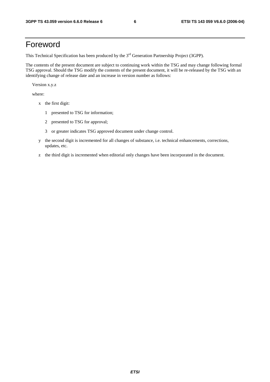## Foreword

This Technical Specification has been produced by the 3<sup>rd</sup> Generation Partnership Project (3GPP).

The contents of the present document are subject to continuing work within the TSG and may change following formal TSG approval. Should the TSG modify the contents of the present document, it will be re-released by the TSG with an identifying change of release date and an increase in version number as follows:

Version x.y.z

where:

- x the first digit:
	- 1 presented to TSG for information;
	- 2 presented to TSG for approval;
	- 3 or greater indicates TSG approved document under change control.
- y the second digit is incremented for all changes of substance, i.e. technical enhancements, corrections, updates, etc.
- z the third digit is incremented when editorial only changes have been incorporated in the document.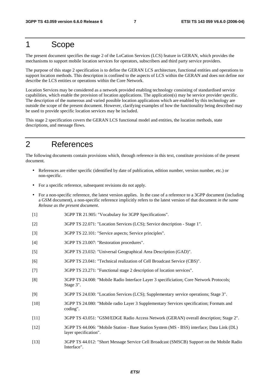## 1 Scope

The present document specifies the stage 2 of the LoCation Services (LCS) feature in GERAN, which provides the mechanisms to support mobile location services for operators, subscribers and third party service providers.

The purpose of this stage 2 specification is to define the GERAN LCS architecture, functional entities and operations to support location methods. This description is confined to the aspects of LCS within the GERAN and does not define nor describe the LCS entities or operations within the Core Network.

Location Services may be considered as a network provided enabling technology consisting of standardised service capabilities, which enable the provision of location applications. The application(s) may be service provider specific. The description of the numerous and varied possible location applications which are enabled by this technology are outside the scope of the present document. However, clarifying examples of how the functionality being described may be used to provide specific location services may be included.

This stage 2 specification covers the GERAN LCS functional model and entities, the location methods, state descriptions, and message flows.

## 2 References

The following documents contain provisions which, through reference in this text, constitute provisions of the present document.

- References are either specific (identified by date of publication, edition number, version number, etc.) or non-specific.
- For a specific reference, subsequent revisions do not apply.
- For a non-specific reference, the latest version applies. In the case of a reference to a 3GPP document (including a GSM document), a non-specific reference implicitly refers to the latest version of that document *in the same Release as the present document*.
- [1] 3GPP TR 21.905: "Vocabulary for 3GPP Specifications".
- [2] 3GPP TS 22.071: "Location Services (LCS); Service description Stage 1".
- [3] 3GPP TS 22.101: "Service aspects; Service principles".
- [4] 3GPP TS 23.007: "Restoration procedures".
- [5] 3GPP TS 23.032: "Universal Geographical Area Description (GAD)".
- [6] 3GPP TS 23.041: "Technical realization of Cell Broadcast Service (CBS)".
- [7] 3GPP TS 23.271: "Functional stage 2 description of location services".
- [8] 3GPP TS 24.008: "Mobile Radio Interface Layer 3 specificiation; Core Network Protocols; Stage 3".
- [9] 3GPP TS 24.030: "Location Services (LCS); Supplementary service operations; Stage 3".
- [10] 3GPP TS 24.080: "Mobile radio Layer 3 Supplementary Services specification; Formats and coding".
- [11] 3GPP TS 43.051: "GSM/EDGE Radio Access Network (GERAN) overall description; Stage 2".
- [12] 3GPP TS 44.006: "Mobile Station Base Station System (MS BSS) interface; Data Link (DL) layer specification".
- [13] 3GPP TS 44.012: "Short Message Service Cell Broadcast (SMSCB) Support on the Mobile Radio Interface".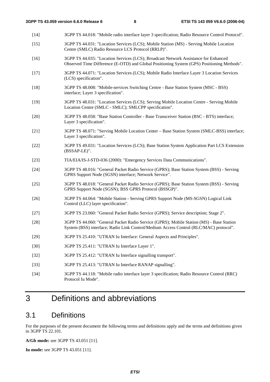- [14] 3GPP TS 44.018: "Mobile radio interface layer 3 specification; Radio Resource Control Protocol". [15] 3GPP TS 44.031: "Location Services (LCS); Mobile Station (MS) - Serving Mobile Location Centre (SMLC) Radio Resource LCS Protocol (RRLP)". [16] 3GPP TS 44.035: "Location Services (LCS); Broadcast Network Assistance for Enhanced Observed Time Difference (E-OTD) and Global Positioning System (GPS) Positioning Methods". [17] 3GPP TS 44.071: "Location Services (LCS); Mobile Radio Interface Layer 3 Location Services (LCS) specification". [18] 3GPP TS 48.008: "Mobile-services Switching Centre - Base Station System (MSC - BSS) interface; Layer 3 specification". [19] 3GPP TS 48.031: "Location Services (LCS); Serving Mobile Location Centre - Serving Mobile Location Centre (SMLC - SMLC); SMLCPP specification". [20] 3GPP TS 48.058: "Base Station Controller - Base Transceiver Station (BSC - BTS) interface; Layer 3 specification". [21] 3GPP TS 48.071: "Serving Mobile Location Center – Base Station System (SMLC-BSS) interface; Layer 3 specification". [22] 3GPP TS 49.031: "Location Services (LCS); Base Station System Application Part LCS Extension (BSSAP-LE)". [23] TIA/EIA/IS-J-STD-036 (2000): "Emergency Services Data Communications". [24] 3GPP TS 48.016: "General Packet Radio Service (GPRS); Base Station System (BSS) - Serving GPRS Support Node (SGSN) interface; Network Service". [25] 3GPP TS 48.018: "General Packet Radio Service (GPRS); Base Station System (BSS) - Serving GPRS Support Node (SGSN); BSS GPRS Protocol (BSSGP)". [26] 3GPP TS 44.064: "Mobile Station - Serving GPRS Support Node (MS-SGSN) Logical Link Control (LLC) layer specification". [27] 3GPP TS 23.060: "General Packet Radio Service (GPRS); Service description; Stage 2". [28] 3GPP TS 44.060: "General Packet Radio Service (GPRS); Mobile Station (MS) - Base Station System (BSS) interface; Radio Link Control/Medium Access Control (RLC/MAC) protocol". [29] 3GPP TS 25.410: "UTRAN Iu Interface: General Aspects and Principles". [30] 3GPP TS 25.411: "UTRAN Iu Interface Layer 1". [32] 3GPP TS 25.412: "UTRAN Iu Interface signalling transport". [33] 3GPP TS 25.413: "UTRAN Iu Interface RANAP signalling".
	- [34] 3GPP TS 44.118: "Mobile radio interface layer 3 specification; Radio Resource Control (RRC) Protocol Iu Mode".

## 3 Definitions and abbreviations

## 3.1 Definitions

For the purposes of the present document the following terms and definitions apply and the terms and definitions given in 3GPP TS 22.101.

**A/Gb mode:** see 3GPP TS 43.051 [11].

**Iu mode:** see 3GPP TS 43.051 [11].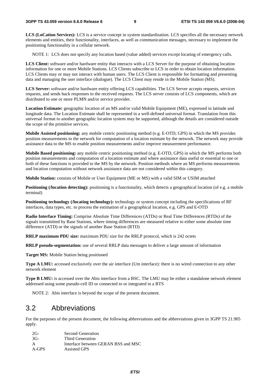**LCS (LoCation Services):** LCS is a service concept in system standardisation. LCS specifies all the necessary network elements and entities, their functionality, interfaces, as well as communication messages, necessary to implement the positioning functionality in a cellular network.

NOTE 1: LCS does not specify any location based (value added) services except locating of emergency calls.

**LCS Client:** software and/or hardware entity that interacts with a LCS Server for the purpose of obtaining location information for one or more Mobile Stations. LCS Clients subscribe to LCS in order to obtain location information. LCS Clients may or may not interact with human users. The LCS Client is responsible for formatting and presenting data and managing the user interface (dialogue). The LCS Client may reside in the Mobile Station (MS).

**LCS Server:** software and/or hardware entity offering LCS capabilities. The LCS Server accepts requests, services requests, and sends back responses to the received requests. The LCS server consists of LCS components, which are distributed to one or more PLMN and/or service provider.

**Location Estimate:** geographic location of an MS and/or valid Mobile Equipment (ME), expressed in latitude and longitude data. The Location Estimate shall be represented in a well-defined universal format. Translation from this universal format to another geographic location system may be supported, although the details are considered outside the scope of the primitive services.

**Mobile Assisted positioning:** any mobile centric positioning method (e.g. E-OTD, GPS) in which the MS provides position measurements to the network for computation of a location estimate by the network. The network may provide assistance data to the MS to enable position measurements and/or improve measurement performance.

**Mobile Based positioning:** any mobile centric positioning method (e.g. E-OTD, GPS) in which the MS performs both position measurements and computation of a location estimate and where assistance data useful or essential to one or both of these functions is provided to the MS by the network. Position methods where an MS performs measurements and location computation without network assistance data are not considered within this category.

**Mobile Station:** consists of Mobile or User Equipment (ME or MS) with a valid SIM or USIM attached

**Positioning (***l***ocation detecting**): positioning is a functionality, which detects a geographical location (of e.g. a mobile terminal)

**Positioning technology (/locating technology):** technology or system concept including the specifications of RF interfaces, data types, etc. to process the estimation of a geographical location, e.g. GPS and E-OTD

**Radio Interface Timing:** Comprise Absolute Time Differences (ATDs) or Real Time Differences (RTDs) of the signals transmitted by Base Stations, where timing differences are measured relative to either some absolute time difference (ATD) or the signals of another Base Station (RTD)

**RRLP maximum PDU size:** maximum PDU size for the RRLP protocol, which is 242 octets

**RRLP pseudo-segmentation:** use of several RRLP data messages to deliver a large amount of information

**Target MS:** Mobile Station being positioned

**Type A LMU:** accessed exclusively over the air interface (Um interface): there is no wired connection to any other network element

**Type B LMU:** is accessed over the Abis interface from a BSC. The LMU may be either a standalone network element addressed using some pseudo-cell ID or connected to or integrated in a BTS

NOTE 2: Abis interface is beyond the scope of the present document.

## 3.2 Abbreviations

For the purposes of the present document, the following abbreviations and the abbreviations given in 3GPP TS 21.905 apply.

| 2G-   | Second Generation                   |
|-------|-------------------------------------|
| 3G-   | Third Generation                    |
| A     | Interface between GERAN BSS and MSC |
| A-GPS | Assisted GPS                        |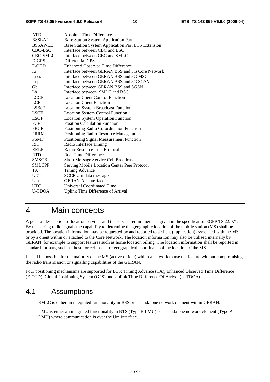| <b>ATD</b>      | Absolute Time Difference                           |
|-----------------|----------------------------------------------------|
| <b>BSSLAP</b>   | <b>Base Station System Application Part</b>        |
| <b>BSSAP-LE</b> | Base Station System Application Part LCS Extension |
| CBC-BSC         | Interface between CBC and BSC                      |
| <b>CBC-SMLC</b> | Interface between CBC and SMLC                     |
| D-GPS           | Differential GPS                                   |
| E-OTD           | Enhanced Observed Time Difference                  |
| Iu              | Interface between GERAN BSS and 3G Core Network    |
| Iu-cs           | Interface between GERAN BSS and 3G MSC             |
| Iu-ps           | Interface between GERAN BSS and 3G SGSN            |
| Gb              | Interface between GERAN BSS and SGSN               |
| Lb              | Interface between SMLC and BSC                     |
| <b>LCCF</b>     | <b>Location Client Control Function</b>            |
| <b>LCF</b>      | <b>Location Client Function</b>                    |
| <b>LSBcF</b>    | <b>Location System Broadcast Function</b>          |
| <b>LSCF</b>     | <b>Location System Control Function</b>            |
| LSOF            | <b>Location System Operation Function</b>          |
| PCF             | <b>Position Calculation Function</b>               |
| <b>PRCF</b>     | Positioning Radio Co-ordination Function           |
| <b>PRRM</b>     | Positioning Radio Resource Management              |
| <b>PSMF</b>     | Positioning Signal Measurement Function            |
| RIT             | Radio Interface Timing                             |
| <b>RRLP</b>     | Radio Resource Link Protocol                       |
| <b>RTD</b>      | Real Time Difference                               |
| <b>SMSCB</b>    | <b>Short Message Service Cell Broadcast</b>        |
| <b>SMLCPP</b>   | Serving Mobile Location Center Peer Protocol       |
| TA              | <b>Timing Advance</b>                              |
| <b>UDT</b>      | <b>SCCP</b> Unitdata message                       |
| Um              | <b>GERAN Air Interface</b>                         |
| <b>UTC</b>      | <b>Universal Coordinated Time</b>                  |
| <b>U-TDOA</b>   | <b>Uplink Time Difference of Arrival</b>           |
|                 |                                                    |

## 4 Main concepts

A general description of location services and the service requirements is given in the specification 3GPP TS 22.071. By measuring radio signals the capability to determine the geographic location of the mobile station (MS) shall be provided. The location information may be requested by and reported to a client (application) associated with the MS, or by a client within or attached to the Core Network. The location information may also be utilised internally by GERAN, for example to support features such as home location billing. The location information shall be reported in standard formats, such as those for cell based or geographical coordinates of the location of the MS.

It shall be possible for the majority of the MS (active or idle) within a network to use the feature without compromising the radio transmission or signalling capabilities of the GERAN.

Four positioning mechanisms are supported for LCS: Timing Advance (TA), Enhanced Observed Time Difference (E-OTD), Global Positioning System (GPS) and Uplink Time Difference Of Arrival (U-TDOA).

## 4.1 Assumptions

- SMLC is either an integrated functionality in BSS or a standalone network element within GERAN.
- LMU is either an integrated functionality in BTS (Type B LMU) or a standalone network element (Type A LMU) where communication is over the Um interface.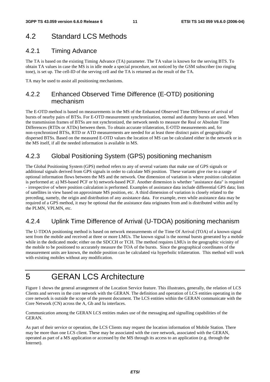## 4.2 Standard LCS Methods

## 4.2.1 Timing Advance

The TA is based on the existing Timing Advance (TA) parameter. The TA value is known for the serving BTS. To obtain TA values in case the MS is in idle mode a special procedure, not noticed by the GSM subscriber (no ringing tone), is set up. The cell-ID of the serving cell and the TA is returned as the result of the TA.

TA may be used to assist all positioning mechanisms.

## 4.2.2 Enhanced Observed Time Difference (E-OTD) positioning mechanism

The E-OTD method is based on measurements in the MS of the Enhanced Observed Time Difference of arrival of bursts of nearby pairs of BTSs. For E-OTD measurement synchronization, normal and dummy bursts are used. When the transmission frames of BTSs are not synchronized, the network needs to measure the Real or Absolute Time Differences (RTDs or ATDs) between them. To obtain accurate trilateration, E-OTD measurements and, for non-synchronized BTSs, RTD or ATD measurements are needed for at least three distinct pairs of geographically dispersed BTSs. Based on the measured E-OTD values the location of MS can be calculated either in the network or in the MS itself, if all the needed information is available in MS.

## 4.2.3 Global Positioning System (GPS) positioning mechanism

The Global Positioning System (GPS) method refers to any of several variants that make use of GPS signals or additional signals derived from GPS signals in order to calculate MS position. These variants give rise to a range of optional information flows between the MS and the network. One dimension of variation is where position calculation is performed at: a) MS-based PCF or b) network-based PCF. Another dimension is whether "assistance data" is required - irrespective of where position calculation is performed. Examples of assistance data include differential GPS data; lists of satellites in view based on approximate MS position, etc. A third dimension of variation is closely related to the preceding, namely, the origin and distribution of any assistance data. For example, even while assistance data may be required of a GPS method, it may be optional that the assistance data originates from and is distributed within and by the PLMN, VPLMN, etc.

## 4.2.4 Uplink Time Difference of Arrival (U-TDOA) positioning mechanism

The U-TDOA positioning method is based on network measurements of the Time Of Arrival (TOA) of a known signal sent from the mobile and received at three or more LMUs. The known signal is the normal bursts generated by a mobile while in the dedicated mode; either on the SDCCH or TCH. The method requires LMUs in the geographic vicinity of the mobile to be positioned to accurately measure the TOA of the bursts. Since the geographical coordinates of the measurement units are known, the mobile position can be calculated via hyperbolic trilateration. This method will work with existing mobiles without any modification.

## 5 GERAN LCS Architecture

Figure 1 shows the general arrangement of the Location Service feature. This illustrates, generally, the relation of LCS Clients and servers in the core network with the GERAN. The definition and operation of LCS entities operating in the core network is outside the scope of the present document. The LCS entities within the GERAN communicate with the Core Network (CN) across the A, Gb and Iu interfaces.

Communication among the GERAN LCS entities makes use of the messaging and signalling capabilities of the GERAN.

As part of their service or operation, the LCS Clients may request the location information of Mobile Station. There may be more than one LCS client. These may be associated with the core network, associated with the GERAN, operated as part of a MS application or accessed by the MS through its access to an application (e.g. through the Internet).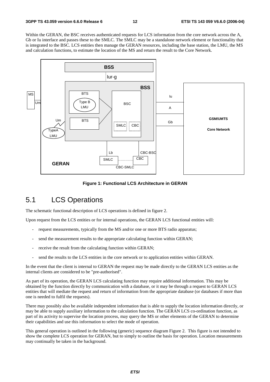Within the GERAN, the BSC receives authenticated requests for LCS information from the core network across the A, Gb or Iu interface and passes these to the SMLC. The SMLC may be a standalone network element or functionality that is integrated to the BSC. LCS entities then manage the GERAN resources, including the base station, the LMU, the MS and calculation functions, to estimate the location of the MS and return the result to the Core Network.



**Figure 1: Functional LCS Architecture in GERAN** 

## 5.1 LCS Operations

The schematic functional description of LCS operations is defined in figure 2.

Upon request from the LCS entities or for internal operations, the GERAN LCS functional entities will:

- request measurements, typically from the MS and/or one or more BTS radio apparatus;
- send the measurement results to the appropriate calculating function within GERAN;
- receive the result from the calculating function within GERAN;
- send the results to the LCS entities in the core network or to application entities within GERAN.

In the event that the client is internal to GERAN the request may be made directly to the GERAN LCS entities as the internal clients are considered to be "pre-authorised".

As part of its operation, the GERAN LCS calculating function may require additional information. This may be obtained by the function directly by communication with a database, or it may be through a request to GERAN LCS entities that will mediate the request and return of information from the appropriate database (or databases if more than one is needed to fulfil the requests).

There may possibly also be available independent information that is able to supply the location information directly, or may be able to supply auxiliary information to the calculation function. The GERAN LCS co-ordination function, as part of its activity to supervise the location process, may query the MS or other elements of the GERAN to determine their capabilities and use this information to select the mode of operation.

This general operation is outlined in the following (generic) sequence diagram Figure 2. This figure is not intended to show the complete LCS operation for GERAN, but to simply to outline the basis for operation. Location measurements may continually be taken in the background.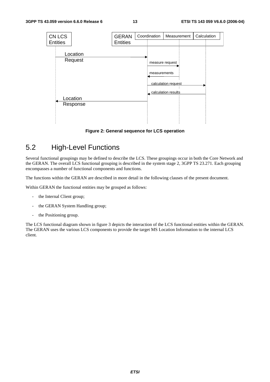

#### **Figure 2: General sequence for LCS operation**

## 5.2 High-Level Functions

Several functional groupings may be defined to describe the LCS. These groupings occur in both the Core Network and the GERAN. The overall LCS functional grouping is described in the system stage 2, 3GPP TS 23.271. Each grouping encompasses a number of functional components and functions.

The functions within the GERAN are described in more detail in the following clauses of the present document.

Within GERAN the functional entities may be grouped as follows:

- the Internal Client group;
- the GERAN System Handling group;
- the Positioning group.

The LCS functional diagram shown in figure 3 depicts the interaction of the LCS functional entities within the GERAN. The GERAN uses the various LCS components to provide the target MS Location Information to the internal LCS client.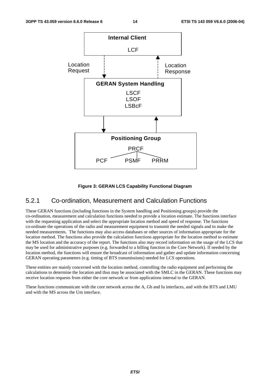

#### **Figure 3: GERAN LCS Capability Functional Diagram**

### 5.2.1 Co-ordination, Measurement and Calculation Functions

These GERAN functions (including functions in the System handling and Positioning groups) provide the co-ordination, measurement and calculation functions needed to provide a location estimate. The functions interface with the requesting application and select the appropriate location method and speed of response. The functions co-ordinate the operations of the radio and measurement equipment to transmit the needed signals and to make the needed measurements. The functions may also access databases or other sources of information appropriate for the location method. The functions also provide the calculation functions appropriate for the location method to estimate the MS location and the accuracy of the report. The functions also may record information on the usage of the LCS that may be used for administrative purposes (e.g. forwarded to a billing function in the Core Network). If needed by the location method, the functions will ensure the broadcast of information and gather and update information concerning GERAN operating parameters (e.g. timing of BTS transmissions) needed for LCS operations.

These entities are mainly concerned with the location method, controlling the radio equipment and performing the calculations to determine the location and thus may be associated with the SMLC in the GERAN. These functions may receive location requests from either the core network or from applications internal to the GERAN.

These functions communicate with the core network across the A, Gb and Iu interfaces, and with the BTS and LMU and with the MS across the Um interface.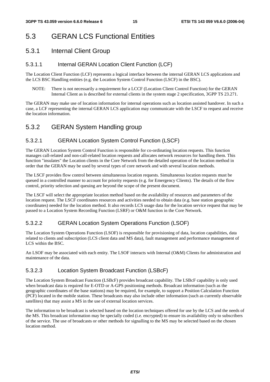## 5.3 GERAN LCS Functional Entities

## 5.3.1 Internal Client Group

## 5.3.1.1 Internal GERAN Location Client Function (LCF)

The Location Client Function (LCF) represents a logical interface between the internal GERAN LCS applications and the LCS BSC Handling entities (e.g. the Location System Control Function (LSCF) in the BSC).

NOTE: There is not necessarily a requirement for a LCCF (Location Client Control Function) for the GERAN Internal Client as is described for external clients in the system stage 2 specification, 3GPP TS 23.271.

The GERAN may make use of location information for internal operations such as location assisted handover. In such a case, a LCF representing the internal GERAN LCS application may communicate with the LSCF to request and receive the location information.

## 5.3.2 GERAN System Handling group

## 5.3.2.1 GERAN Location System Control Function (LSCF)

The GERAN Location System Control Function is responsible for co-ordinating location requests. This function manages call-related and non-call-related location requests and allocates network resources for handling them. This function "insulates" the Location clients in the Core Network from the detailed operation of the location method in order that the GERAN may be used by several types of core network and with several location methods.

The LSCF provides flow control between simultaneous location requests. Simultaneous location requests must be queued in a controlled manner to account for priority requests (e.g. for Emergency Clients). The details of the flow control, priority selection and queuing are beyond the scope of the present document.

The LSCF will select the appropriate location method based on the availability of resources and parameters of the location request. The LSCF coordinates resources and activities needed to obtain data (e.g. base station geographic coordinates) needed for the location method. It also records LCS usage data for the location service request that may be passed to a Location System Recording Function (LSRF) or O&M function in the Core Network.

## 5.3.2.2 GERAN Location System Operations Function (LSOF)

The Location System Operations Function (LSOF) is responsible for provisioning of data, location capabilities, data related to clients and subscription (LCS client data and MS data), fault management and performance management of LCS within the BSC.

An LSOF may be associated with each entity. The LSOF interacts with Internal (O&M) Clients for administration and maintenance of the data.

## 5.3.2.3 Location System Broadcast Function (LSBcF)

The Location System Broadcast Function (LSBcF) provides broadcast capability. The LSBcF capability is only used when broadcast data is required for E-OTD or A-GPS positioning methods. Broadcast information (such as the geographic coordinates of the base stations) may be required, for example, to support a Position Calculation Function (PCF) located in the mobile station. These broadcasts may also include other information (such as currently observable satellites) that may assist a MS in the use of external location services.

The information to be broadcast is selected based on the location techniques offered for use by the LCS and the needs of the MS. This broadcast information may be specially coded (i.e. encrypted) to ensure its availability only to subscribers of the service. The use of broadcasts or other methods for signalling to the MS may be selected based on the chosen location method.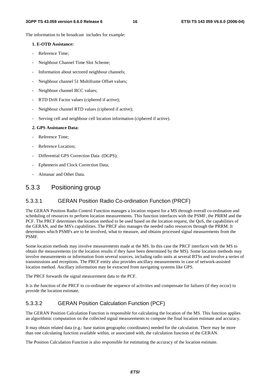The information to be broadcast includes for example:

#### **1. E-OTD Assistance:**

- Reference Time:
- Neighbour Channel Time Slot Scheme;
- Information about sectored neighbour channels;
- Neighbour channel 51 Multiframe Offset values;
- Neighbour channel BCC values;
- RTD Drift Factor values (ciphered if active);
- Neighbour channel RTD values (ciphered if active);
- Serving cell and neighbour cell location information (ciphered if active).

#### **2. GPS Assistance Data:**

- Reference Time:
- Reference Location;
- Differential GPS Correction Data (DGPS);
- Ephemeris and Clock Correction Data;
- Almanac and Other Data.

### 5.3.3 Positioning group

### 5.3.3.1 GERAN Position Radio Co-ordination Function (PRCF)

The GERAN Position Radio Control Function manages a location request for a MS through overall co-ordination and scheduling of resources to perform location measurements. This function interfaces with the PSMF, the PRRM and the PCF. The PRCF determines the location method to be used based on the location request, the QoS, the capabilities of the GERAN, and the MS's capabilities. The PRCF also manages the needed radio resources through the PRRM. It determines which PSMFs are to be involved, what to measure, and obtains processed signal measurements from the PSMF.

Some location methods may involve measurements made at the MS. In this case the PRCF interfaces with the MS to obtain the measurements (or the location results if they have been determined by the MS). Some location methods may involve measurements or information from several sources, including radio units at several BTSs and involve a series of transmissions and receptions. The PRCF entity also provides ancillary measurements in case of network-assisted location method. Ancillary information may be extracted from navigating systems like GPS.

The PRCF forwards the signal measurement data to the PCF.

It is the function of the PRCF to co-ordinate the sequence of activities and compensate for failures (if they occur) to provide the location estimate.

### 5.3.3.2 GERAN Position Calculation Function (PCF)

The GERAN Position Calculation Function is responsible for calculating the location of the MS. This function applies an algorithmic computation on the collected signal measurements to compute the final location estimate and accuracy.

It may obtain related data (e.g.: base station geographic coordinates) needed for the calculation. There may be more than one calculating function available within, or associated with, the calculation function of the GERAN.

The Position Calculation Function is also responsible for estimating the accuracy of the location estimate.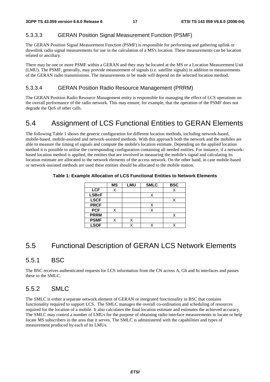### 5.3.3.3 GERAN Position Signal Measurement Function (PSMF)

The GERAN Position Signal Measurement Function (PSMF) is responsible for performing and gathering uplink or downlink radio signal measurements for use in the calculation of a MS's location. These measurements can be location related or ancillary.

There may be one or more PSMF within a GERAN and they may be located at the MS or a Location Measurement Unit (LMU). The PSMF, generally, may provide measurement of signals (i.e. satellite signals) in addition to measurements of the GERAN radio transmissions. The measurements to be made will depend on the selected location method.

#### 5.3.3.4 GERAN Position Radio Resource Management (PRRM)

The GERAN Position Radio Resource Management entity is responsible for managing the effect of LCS operations on the overall performance of the radio network. This may ensure, for example, that the operation of the PSMF does not degrade the QoS of other calls.

## 5.4 Assignment of LCS Functional Entities to GERAN Elements

The following Table 1 shows the generic configuration for different location methods, including network-based, mobile-based, mobile-assisted and network-assisted methods. With this approach both the network and the mobiles are able to measure the timing of signals and compute the mobile's location estimate. Depending on the applied location method it is possible to utilise the corresponding configuration containing all needed entities. For instance, if a networkbased location method is applied, the entities that are involved in measuring the mobile's signal and calculating its location estimate are allocated to the network elements of the access network. On the other hand, in case mobile-based or network-assisted methods are used these entities should be allocated to the mobile station.

|              | <b>MS</b> | LMU | <b>SMLC</b> | <b>BSC</b> |
|--------------|-----------|-----|-------------|------------|
| <b>LCF</b>   | X         |     |             |            |
| <b>LSBcF</b> |           |     |             |            |
| <b>LSCF</b>  |           |     |             |            |
| <b>PRCF</b>  |           |     | X           |            |
| <b>PCF</b>   |           |     |             |            |
| <b>PRRM</b>  |           |     |             |            |
| <b>PSMF</b>  | X         |     |             |            |
| <b>LSOF</b>  |           |     |             |            |

#### **Table 1: Example Allocation of LCS Functional Entities to Network Elements**

## 5.5 Functional Description of GERAN LCS Network Elements

### 5.5.1 BSC

The BSC receives authenticated requests for LCS information from the CN across A, Gb and Iu interfaces and passes these to the SMLC.

### 5.5.2 SMLC

The SMLC is either a separate network element of GERAN or integrated functionality in BSC that contains functionality required to support LCS. The SMLC manages the overall co-ordination and scheduling of resources required for the location of a mobile. It also calculates the final location estimate and estimates the achieved accuracy. The SMLC may control a number of LMUs for the purpose of obtaining radio interface measurements to locate or help locate MS subscribers in the area that it serves. The SMLC is administered with the capabilities and types of measurement produced by each of its LMUs.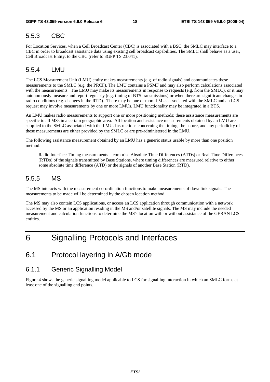### 5.5.3 CBC

For Location Services, when a Cell Broadcast Center (CBC) is associated with a BSC, the SMLC may interface to a CBC in order to broadcast assistance data using existing cell broadcast capabilities. The SMLC shall behave as a user, Cell Broadcast Entity, to the CBC (refer to 3GPP TS 23.041).

### 5.5.4 LMU

The LCS Measurement Unit (LMU) entity makes measurements (e.g. of radio signals) and communicates these measurements to the SMLC (e.g. the PRCF). The LMU contains a PSMF and may also perform calculations associated with the measurements. The LMU may make its measurements in response to requests (e.g. from the SMLC), or it may autonomously measure and report regularly (e.g. timing of BTS transmissions) or when there are significant changes in radio conditions (e.g. changes in the RTD). There may be one or more LMUs associated with the SMLC and an LCS request may involve measurements by one or more LMUs. LMU functionality may be integrated in a BTS.

An LMU makes radio measurements to support one or more positioning methods; these assistance measurements are specific to all MSs in a certain geographic area. All location and assistance measurements obtained by an LMU are supplied to the SMLC associated with the LMU. Instructions concerning the timing, the nature, and any periodicity of these measurements are either provided by the SMLC or are pre-administered in the LMU.

The following assistance measurement obtained by an LMU has a generic status usable by more than one position method:

- Radio Interface Timing measurements – comprise Absolute Time Differences (ATDs) or Real Time Differences (RTDs) of the signals transmitted by Base Stations, where timing differences are measured relative to either some absolute time difference (ATD) or the signals of another Base Station (RTD).

## 5.5.5 MS

The MS interacts with the measurement co-ordination functions to make measurements of downlink signals. The measurements to be made will be determined by the chosen location method.

The MS may also contain LCS applications, or access an LCS application through communication with a network accessed by the MS or an application residing in the MS and/or satellite signals. The MS may include the needed measurement and calculation functions to determine the MS's location with or without assistance of the GERAN LCS entities.

## 6 Signalling Protocols and Interfaces

## 6.1 Protocol layering in A/Gb mode

### 6.1.1 Generic Signalling Model

Figure 4 shows the generic signalling model applicable to LCS for signalling interaction in which an SMLC forms at least one of the signalling end points.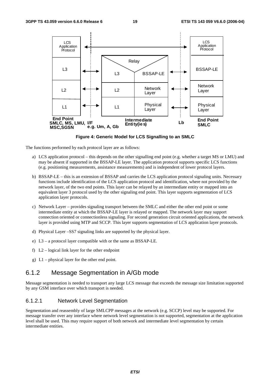

**Figure 4: Generic Model for LCS Signalling to an SMLC** 

The functions performed by each protocol layer are as follows:

- a) LCS application protocol this depends on the other signalling end point (e.g. whether a target MS or LMU) and may be absent if supported in the BSSAP-LE layer. The application protocol supports specific LCS functions (e.g. positioning measurements, assistance measurements) and is independent of lower protocol layers.
- b) BSSAP-LE this is an extension of BSSAP and carries the LCS application protocol signaling units. Necessary functions include identification of the LCS application protocol and identification, where not provided by the network layer, of the two end points. This layer can be relayed by an intermediate entity or mapped into an equivalent layer 3 protocol used by the other signaling end point. This layer supports segmentation of LCS application layer protocols.
- c) Network Layer provides signaling transport between the SMLC and either the other end point or some intermediate entity at which the BSSAP-LE layer is relayed or mapped. The network layer may support connection oriented or connectionless signaling. For second generation circuit oriented applications, the network layer is provided using MTP and SCCP. This layer supports segmentation of LCS application layer protocols.
- d) Physical Layer –SS7 signaling links are supported by the physical layer.
- e) L3 a protocol layer compatible with or the same as BSSAP-LE.
- f) L2 logical link layer for the other endpoint
- g) L1 physical layer for the other end point.

## 6.1.2 Message Segmentation in A/Gb mode

Message segmentation is needed to transport any large LCS message that exceeds the message size limitation supported by any GSM interface over which transport is needed.

#### 6.1.2.1 Network Level Segmentation

Segmentation and reassembly of large SMLCPP messages at the network (e.g. SCCP) level may be supported. For message transfer over any interface where network level segmentation is not supported, segmentation at the application level shall be used. This may require support of both network and intermediate level segmentation by certain intermediate entities.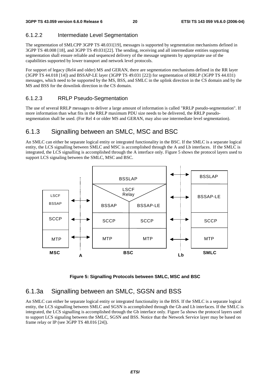## 6.1.2.2 Intermediate Level Segmentation

The segmentation of SMLCPP 3GPP TS 48.031[19], messages is supported by segmentation mechanisms defined in 3GPP TS 48.008 [18], and 3GPP TS 49.031[22]. The sending, receiving and all intermediate entities supporting segmentation shall ensure reliable and sequenced delivery of the message segments by appropriate use of the capabilities supported by lower transport and network level protocols.

For support of legacy (Rel4 and older) MS and GERAN, there are segmentation mechanisms defined in the RR layer (3GPP TS 44.018 [14]) and BSSAP-LE layer (3GPP TS 49.031 [22]) for segmentation of RRLP (3GPP TS 44.031) messages, which need to be supported by the MS, BSS, and SMLC in the uplink direction in the CS domain and by the MS and BSS for the downlink direction in the CS domain.

## 6.1.2.3 RRLP Pseudo-Segmentation

The use of several RRLP messages to deliver a large amount of information is called "RRLP pseudo-segmentation". If more information than what fits in the RRLP maximum PDU size needs to be delivered, the RRLP pseudosegmentation shall be used. (For Rel 4 or older MS and GERAN, may also use intermediate level segmentation).

## 6.1.3 Signalling between an SMLC, MSC and BSC

An SMLC can either be separate logical entity or integrated functionality in the BSC. If the SMLC is a separate logical entity, the LCS signalling between SMLC and MSC is accomplished through the A and Lb interfaces. If the SMLC is integrated, the LCS signalling is accomplished through the A interface only. Figure 5 shows the protocol layers used to support LCS signaling between the SMLC, MSC and BSC.



**Figure 5: Signalling Protocols between SMLC, MSC and BSC** 

## 6.1.3a Signalling between an SMLC, SGSN and BSS

An SMLC can either be separate logical entity or integrated functionality in the BSS. If the SMLC is a separate logical entity, the LCS signalling between SMLC and SGSN is accomplished through the Gb and Lb interfaces. If the SMLC is integrated, the LCS signalling is accomplished through the Gb interface only. Figure 5a shows the protocol layers used to support LCS signaling between the SMLC, SGSN and BSS. Notice that the Network Service layer may be based on frame relay or IP (see 3GPP TS 48.016 [24]).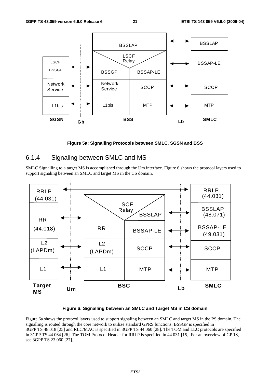

**Figure 5a: Signalling Protocols between SMLC, SGSN and BSS** 

### 6.1.4 Signaling between SMLC and MS

SMLC Signalling to a target MS is accomplished through the Um interface. Figure 6 shows the protocol layers used to support signaling between an SMLC and target MS in the CS domain.



**Figure 6: Signalling between an SMLC and Target MS in CS domain** 

Figure 6a shows the protocol layers used to support signaling between an SMLC and target MS in the PS domain. The signalling is routed through the core network to utilize standard GPRS functions. BSSGP is specified in 3GPP TS 48.018 [25] and RLC/MAC is specified in 3GPP TS 44.060 [28]. The TOM and LLC protocols are specified in 3GPP TS 44.064 [26]. The TOM Protocol Header for RRLP is specified in 44.031 [15]. For an overview of GPRS, see 3GPP TS 23.060 [27].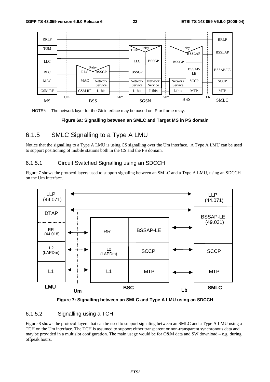



#### **Figure 6a: Signalling between an SMLC and Target MS in PS domain**

## 6.1.5 SMLC Signalling to a Type A LMU

Notice that the signalling to a Type A LMU is using CS signalling over the Um interface. A Type A LMU can be used to support positioning of mobile stations both in the CS and the PS domain.

### 6.1.5.1 Circuit Switched Signalling using an SDCCH

Figure 7 shows the protocol layers used to support signaling between an SMLC and a Type A LMU, using an SDCCH on the Um interface.





### 6.1.5.2 Signalling using a TCH

Figure 8 shows the protocol layers that can be used to support signaling between an SMLC and a Type A LMU using a TCH on the Um interface. The TCH is assumed to support either transparent or non-transparent synchronous data and may be provided in a multislot configuration. The main usage would be for O&M data and SW download – e.g. during offpeak hours.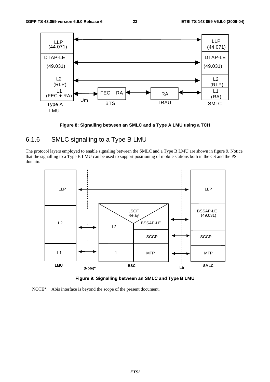

**Figure 8: Signalling between an SMLC and a Type A LMU using a TCH** 

## 6.1.6 SMLC signalling to a Type B LMU

The protocol layers employed to enable signaling between the SMLC and a Type B LMU are shown in figure 9. Notice that the signalling to a Type B LMU can be used to support positioning of mobile stations both in the CS and the PS domain.



**Figure 9: Signalling between an SMLC and Type B LMU** 

NOTE\*: Abis interface is beyond the scope of the present document.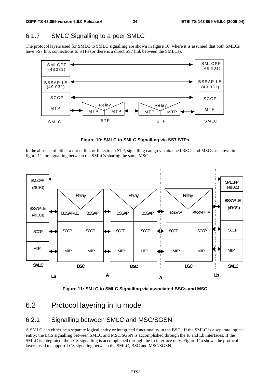## 6.1.7 SMLC Signalling to a peer SMLC

The protocol layers used for SMLC to SMLC signalling are shown in figure 10, where it is assumed that both SMLCs have SS7 link connections to STPs (or there is a direct SS7 link between the SMLCs).



**Figure 10: SMLC to SMLC Signalling via SS7 STPs** 

In the absence of either a direct link or links to an STP, signalling can go via attached BSCs and MSCs as shown in figure 11 for signalling between the SMLCs sharing the same MSC.





## 6.2 Protocol layering in Iu mode

### 6.2.1 Signalling between SMLC and MSC/SGSN

A SMLC can either be a separate logical entity or integrated functionality in the BSC. If the SMLC is a separate logical entity, the LCS signalling between SMLC and MSC/SGSN is accomplished through the Iu and Lb interfaces. If the SMLC is integrated, the LCS signalling is accomplished through the Iu interface only. Figure 11a shows the protocol layers used to support LCS signaling between the SMLC, BSC and MSC/SGSN.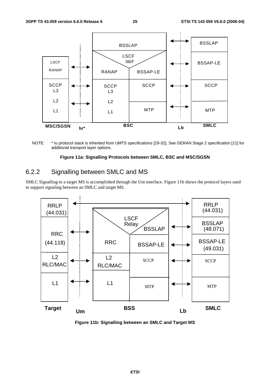

NOTE: \* Iu protocol stack is inherited from UMTS specifications [29-32]. See GERAN Stage 2 specification [11] for additional transport layer options.

#### **Figure 11a: Signalling Protocols between SMLC, BSC and MSC/SGSN**

## 6.2.2 Signalling between SMLC and MS

SMLC Signalling to a target MS is accomplished through the Um interface. Figure 11b shows the protocol layers used to support signaling between an SMLC and target MS.



**Figure 11b: Signalling between an SMLC and Target MS**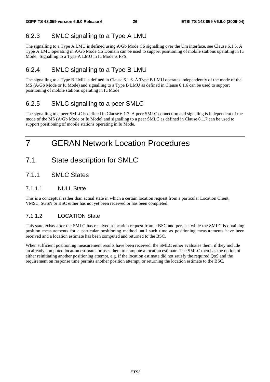## 6.2.3 SMLC signalling to a Type A LMU

The signalling to a Type A LMU is defined using A/Gb Mode CS signalling over the Um interface, see Clause 6.1.5. A Type A LMU operating in A/Gb Mode CS Domain can be used to support positioning of mobile stations operating in Iu Mode. Signalling to a Type A LMU in Iu Mode is FFS.

## 6.2.4 SMLC signalling to a Type B LMU

The signalling to a Type B LMU is defined in Clause 6.1.6. A Type B LMU operates independently of the mode of the MS (A/Gb Mode or Iu Mode) and signalling to a Type B LMU as defined in Clause 6.1.6 can be used to support positioning of mobile stations operating in Iu Mode.

## 6.2.5 SMLC signalling to a peer SMLC

The signalling to a peer SMLC is defined in Clause 6.1.7. A peer SMLC connection and signaling is independent of the mode of the MS (A/Gb Mode or Iu Mode) and signalling to a peer SMLC as defined in Clause 6.1.7 can be used to support positioning of mobile stations operating in Iu Mode.

## 7 GERAN Network Location Procedures

- 7.1 State description for SMLC
- 7.1.1 SMLC States

### 7.1.1.1 NULL State

This is a conceptual rather than actual state in which a certain location request from a particular Location Client, VMSC, SGSN or BSC either has not yet been received or has been completed.

### 7.1.1.2 LOCATION State

This state exists after the SMLC has received a location request from a BSC and persists while the SMLC is obtaining position measurements for a particular positioning method until such time as positioning measurements have been received and a location estimate has been computed and returned to the BSC.

When sufficient positioning measurement results have been received, the SMLC either evaluates them, if they include an already computed location estimate, or uses them to compute a location estimate. The SMLC then has the option of either reinitiating another positioning attempt, e.g. if the location estimate did not satisfy the required QoS and the requirement on response time permits another position attempt, or returning the location estimate to the BSC.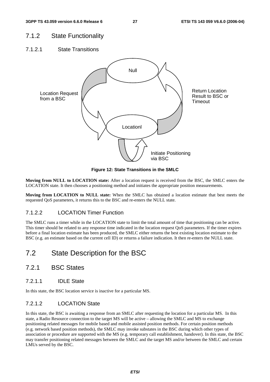## 7.1.2 State Functionality

7.1.2.1 State Transitions



**Figure 12: State Transitions in the SMLC** 

**Moving from NULL to LOCATION state:** After a location request is received from the BSC, the SMLC enters the LOCATION state. It then chooses a positioning method and initiates the appropriate position measurements.

**Moving from LOCATION to NULL state:** When the SMLC has obtained a location estimate that best meets the requested QoS parameters, it returns this to the BSC and re-enters the NULL state.

### 7.1.2.2 LOCATION Timer Function

The SMLC runs a timer while in the LOCATION state to limit the total amount of time that positioning can be active. This timer should be related to any response time indicated in the location request QoS parameters. If the timer expires before a final location estimate has been produced, the SMLC either returns the best existing location estimate to the BSC (e.g. an estimate based on the current cell ID) or returns a failure indication. It then re-enters the NULL state.

## 7.2 State Description for the BSC

## 7.2.1 BSC States

7.2.1.1 IDLE State

In this state, the BSC location service is inactive for a particular MS.

#### 7.2.1.2 LOCATION State

In this state, the BSC is awaiting a response from an SMLC after requesting the location for a particular MS. In this state, a Radio Resource connection to the target MS will be active – allowing the SMLC and MS to exchange positioning related messages for mobile based and mobile assisted position methods. For certain position methods (e.g. network based position methods), the SMLC may invoke substates in the BSC during which other types of association or procedure are supported with the MS (e.g. temporary call establishment, handover). In this state, the BSC may transfer positioning related messages between the SMLC and the target MS and/or between the SMLC and certain LMUs served by the BSC.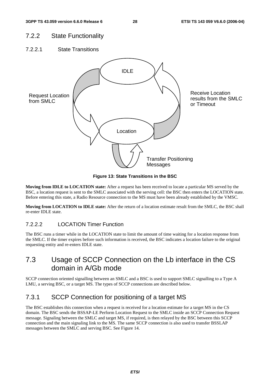## 7.2.2 State Functionality

7.2.2.1 State Transitions



**Figure 13: State Transitions in the BSC** 

**Moving from IDLE to LOCATION state:** After a request has been received to locate a particular MS served by the BSC, a location request is sent to the SMLC associated with the serving cell: the BSC then enters the LOCATION state. Before entering this state, a Radio Resource connection to the MS must have been already established by the VMSC.

**Moving from LOCATION to IDLE state:** After the return of a location estimate result from the SMLC, the BSC shall re-enter IDLE state.

### 7.2.2.2 LOCATION Timer Function

The BSC runs a timer while in the LOCATION state to limit the amount of time waiting for a location response from the SMLC. If the timer expires before such information is received, the BSC indicates a location failure to the original requesting entity and re-enters IDLE state.

## 7.3 Usage of SCCP Connection on the Lb interface in the CS domain in A/Gb mode

SCCP connection oriented signalling between an SMLC and a BSC is used to support SMLC signalling to a Type A LMU, a serving BSC, or a target MS. The types of SCCP connections are described below.

## 7.3.1 SCCP Connection for positioning of a target MS

The BSC establishes this connection when a request is received for a location estimate for a target MS in the CS domain. The BSC sends the BSSAP-LE Perform Location Request to the SMLC inside an SCCP Connection Request message. Signaling between the SMLC and target MS, if required, is then relayed by the BSC between this SCCP connection and the main signaling link to the MS. The same SCCP connection is also used to transfer BSSLAP messages between the SMLC and serving BSC. See Figure 14.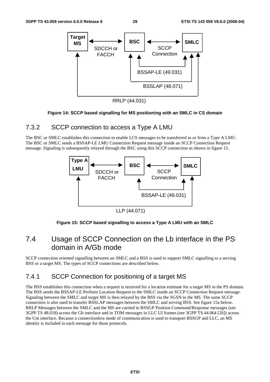

RRLP (44.031)

#### **Figure 14: SCCP based signalling for MS positioning with an SMLC in CS domain**

## 7.3.2 SCCP connection to access a Type A LMU

The BSC or SMLC establishes this connection to enable LCS messages to be transferred to or from a Type A LMU. The BSC or SMLC sends a BSSAP-LE LMU Connection Request message inside an SCCP Connection Request message. Signaling is subsequently relayed through the BSC using this SCCP connection as shown in figure 15.



LLP (44.071)

### **Figure 15: SCCP based signalling to access a Type A LMU with an SMLC**

## 7.4 Usage of SCCP Connection on the Lb interface in the PS domain in A/Gb mode

SCCP connection oriented signalling between an SMLC and a BSS is used to support SMLC signalling to a serving BSS or a target MS. The types of SCCP connections are described below.

## 7.4.1 SCCP Connection for positioning of a target MS

The BSS establishes this connection when a request is received for a location estimate for a target MS in the PS domain. The BSS sends the BSSAP-LE Perform Location Request to the SMLC inside an SCCP Connection Request message. Signaling between the SMLC and target MS is then relayed by the BSS via the SGSN to the MS. The same SCCP connection is also used to transfer BSSLAP messages between the SMLC and serving BSS. See figure 15a below. RRLP Messages between the SMLC and the MS are carried in BSSGP Position Command/Response messages (see 3GPP TS 48.018) across the Gb interface and in TOM messages in LLC UI frames (see 3GPP TS 44.064 [26]) across the Um interface. Because a connectionless mode of communication is used to transport BSSGP and LLC, an MS identity is included in each message for those protocols.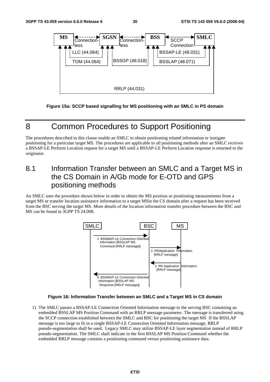

**Figure 15a: SCCP based signalling for MS positioning with an SMLC in PS domain** 

## 8 Common Procedures to Support Positioning

The procedures described in this clause enable an SMLC to obtain positioning related information or instigate positioning for a particular target MS. The procedures are applicable to all positioning methods after an SMLC receives a BSSAP-LE Perform Location request for a target MS until a BSSAP-LE Perform Location response is returned to the originator.

## 8.1 Information Transfer between an SMLC and a Target MS in the CS Domain in A/Gb mode for E-OTD and GPS positioning methods

An SMLC uses the procedure shown below in order to obtain the MS position or positioning measurements from a target MS or transfer location assistance information to a target MSin the CS domain after a request has been received from the BSC serving the target MS. More details of the location information transfer procedure between the BSC and MS can be found in 3GPP TS 24.008.



#### **Figure 16: Information Transfer between an SMLC and a Target MS in CS domain**

1) The SMLC passes a BSSAP-LE Connection Oriented Information message to the serving BSC containing an embedded BSSLAP MS Position Command with an RRLP message parameter. The message is transferred using the SCCP connection established between the SMLC and BSC for positioning the target MS If the BSSLAP message is too large to fit in a single BSSAP-LE Connection Oriented Information message, RRLP pseudo-segmentation shall be used. Legacy SMLC may utilize BSSAP-LE layer segmentation instead of RRLP pseudo-segmentation. The SMLC shall indicate in the first BSSLAP MS Position Command whether the embedded RRLP message contains a positioning command versus positioning assistance data.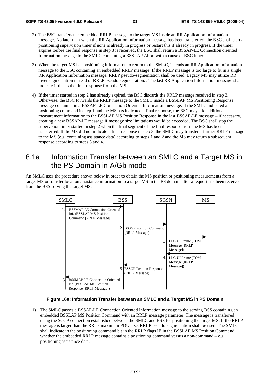- 2) The BSC transfers the embedded RRLP message to the target MS inside an RR Application Information message. No later than when the RR Application Information message has been transferred, the BSC shall start a positioning supervision timer if none is already in progress or restart this if already in progress. If the timer expires before the final response in step 3 is received, the BSC shall return a BSSAP-LE Connection oriented Information message to the SMLC containing a BSSLAP Abort with a cause of BSC timeout.
- 3) When the target MS has positioning information to return to the SMLC, it sends an RR Application Information message to the BSC containing an embedded RRLP message. If the RRLP message is too large to fit in a single RR Application Information message, RRLP pseudo-segmentation shall be used. Legacy MS may utilize RR layer segmentation instead of RRLP pseudo-segmentation. . The last RR Application Information message shall indicate if this is the final response from the MS.
- 4) If the timer started in step 2 has already expired, the BSC discards the RRLP message received in step 3. Otherwise, the BSC forwards the RRLP message to the SMLC inside a BSSLAP MS Positioning Response message contained in a BSSAP-LE Connection Oriented Information message. If the SMLC indicated a positioning command in step 1 and the MS has indicated a final response, the BSC may add additional measurement information to the BSSLAP MS Position Response in the last BSSAP-LE message – if necessary, creating a new BSSAP-LE message if message size limitations would be exceeded. The BSC shall stop the supervision timer started in step 2 when the final segment of the final response from the MS has been transferred. If the MS did not indicate a final response in step 3, the SMLC may transfer a further RRLP message to the MS (e.g. containing assistance data) according to steps 1 and 2 and the MS may return a subsequent response according to steps 3 and 4.

## 8.1a Information Transfer between an SMLC and a Target MS in the PS Domain in A/Gb mode

An SMLC uses the procedure shown below in order to obtain the MS position or positioning measurements from a target MS or transfer location assistance information to a target MS in the PS domain after a request has been received from the BSS serving the target MS.



#### **Figure 16a: Information Transfer between an SMLC and a Target MS in PS Domain**

1) The SMLC passes a BSSAP-LE Connection Oriented Information message to the serving BSS containing an embedded BSSLAP MS Position Command with an RRLP message parameter. The message is transferred using the SCCP connection established between the SMLC and BSS for positioning the target MS. If the RRLP message is larger than the RRLP maximum PDU size, RRLP pseudo-segmentation shall be used. The SMLC shall indicate in the positioning command bit in the RRLP flags IE in the BSSLAP MS Position Command whether the embedded RRLP message contains a positioning command versus a non-command  $-e.g.$ positioning assistance data.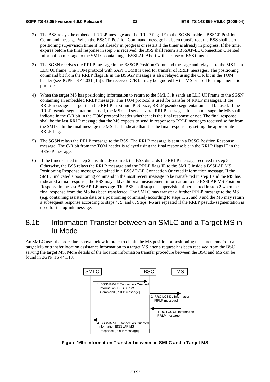- 2) The BSS relays the embedded RRLP message and the RRLP flags IE to the SGSN inside a BSSGP Position Command message. When the BSSGP Position Command message has been transferred, the BSS shall start a positioning supervision timer if not already in progress or restart if the timer is already in progress. If the timer expires before the final response in step 5 is received, the BSS shall return a BSSAP-LE Connection Oriented Information message to the SMLC containing a BSSLAP Abort with a cause of BSS timeout.
- 3) The SGSN receives the RRLP message in the BSSGP Position Command message and relays it to the MS in an LLC UI frame. The TOM protocol with SAPI TOM8 is used for transfer of RRLP messages. The positioning command bit from the RRLP flags IE in the BSSGP message is also relayed using the C/R bit in the TOM header (see 3GPP TS 44.031 [15]). The received C/R bit may be ignored by the MS or used for implementation purposes.
- 4) When the target MS has positioning information to return to the SMLC, it sends an LLC UI Frame to the SGSN containing an embedded RRLP message. The TOM protocol is used for transfer of RRLP messages. If the RRLP message is larger than the RRLP maximum PDU size, RRLP pseudo-segmentation shall be used. If the RRLP pseudo-segmentation is used, the MS shall send several RRLP messages. In each message the MS shall indicate in the C/R bit in the TOM protocol header whether it is the final response or not. The final response shall be the last RRLP message that the MS expects to send in response to RRLP messages received so far from the SMLC. In the final message the MS shall indicate that it is the final response by setting the appropriate RRLP flag.
- 5) The SGSN relays the RRLP message to the BSS. The RRLP message is sent in a BSSG Position Response message. The C/R bit from the TOM header is relayed using the final response bit in the RRLP flags IE in the BSSGP message.
- 6) If the timer started in step 2 has already expired, the BSS discards the RRLP message received in step 5. Otherwise, the BSS relays the RRLP message and the RRLP flags IE to the SMLC inside a BSSLAP MS Positioning Response message contained in a BSSAP-LE Connection Oriented Information message. If the SMLC indicated a positioning command in the most recent message to be transferred in step 1 and the MS has indicated a final response, the BSS may add additional measurement information to the BSSLAP MS Position Response in the last BSSAP-LE message. The BSS shall stop the supervision timer started in step 2 when the final response from the MS has been transferred. The SMLC may transfer a further RRLP message to the MS (e.g. containing assistance data or a positioning command) according to steps 1, 2, and 3 and the MS may return a subsequent response according to steps 4, 5, and 6. Steps 4-6 are repeated if the RRLP pseudo-segmentation is used for the uplink message.

## 8.1b Information Transfer between an SMLC and a Target MS in Iu Mode

An SMLC uses the procedure shown below in order to obtain the MS position or positioning measurements from a target MS or transfer location assistance information to a target MS after a request has been received from the BSC serving the target MS. More details of the location information transfer procedure between the BSC and MS can be found in 3GPP TS 44.118.



**Figure 16b: Information Transfer between an SMLC and a Target MS**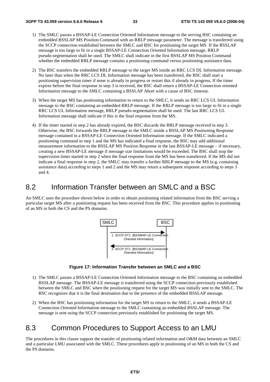- 1) The SMLC passes a BSSAP-LE Connection Oriented Information message to the serving BSC containing an embedded BSSLAP MS Position Command with an RRLP message parameter. The message is transferred using the SCCP connection established between the SMLC and BSC for positioning the target MS If the BSSLAP message is too large to fit in a single BSSAP-LE Connection Oriented Information message, RRLP pseudo-segmentation shall be used. The SMLC shall indicate in the first BSSLAP MS Position Command whether the embedded RRLP message contains a positioning command versus positioning assistance data.
- 2) The BSC transfers the embedded RRLP message to the target MS inside an RRC LCS DL Information message. No later than when the RRC LCS DL Information message has been transferred, the BSC shall start a positioning supervision timer if none is already in progress or restart this if already in progress. If the timer expires before the final response in step 3 is received, the BSC shall return a BSSAP-LE Connection oriented Information message to the SMLC containing a BSSLAP Abort with a cause of BSC timeout.
- 3) When the target MS has positioning information to return to the SMLC, it sends an RRC LCS UL Information message to the BSC containing an embedded RRLP message. If the RRLP message is too large to fit in a single RRC LCS UL Information message, RRLP pseudo-segmentation shall be used. The last RRC LCS UL Information message shall indicate if this is the final response from the MS.
- 4) If the timer started in step 2 has already expired, the BSC discards the RRLP message received in step 3. Otherwise, the BSC forwards the RRLP message to the SMLC inside a BSSLAP MS Positioning Response message contained in a BSSAP-LE Connection Oriented Information message. If the SMLC indicated a positioning command in step 1 and the MS has indicated a final response, the BSC may add additional measurement information to the BSSLAP MS Position Response in the last BSSAP-LE message – if necessary, creating a new BSSAP-LE message if message size limitations would be exceeded. The BSC shall stop the supervision timer started in step 2 when the final response from the MS has been transferred. If the MS did not indicate a final response in step 2, the SMLC may transfer a further RRLP message to the MS (e.g. containing assistance data) according to steps 1 and 2 and the MS may return a subsequent response according to steps 3 and 4.

## 8.2 Information Transfer between an SMLC and a BSC

An SMLC uses the procedure shown below in order to obtain positioning related information from the BSC serving a particular target MS after a positioning request has been received from the BSC. This procedure applies to positioning of an MS in both the CS and the PS domains.



**Figure 17: Information Transfer between an SMLC and a BSC** 

- 1) The SMLC passes a BSSAP-LE Connection Oriented Information message to the BSC containing an embedded BSSLAP message. The BSSAP-LE message is transferred using the SCCP connection previously established between the SMLC and BSC when the positioning request for the target MS was initially sent to the SMLC. The BSC recognizes that it is the final destination due to the presence of the embedded BSSLAP message.
- 2) When the BSC has positioning information for the target MS to return to the SMLC, it sends a BSSAP-LE Connection Oriented Information message to the SMLC containing an embedded BSSLAP message. The message is sent using the SCCP connection previously established for positioning the target MS.

## 8.3 Common Procedures to Support Access to an LMU

The procedures in this clause support the transfer of positioning related information and O&M data between an SMLC and a particular LMU associated with the SMLC. These procedures apply to positioning of an MS in both the CS and the PS domains.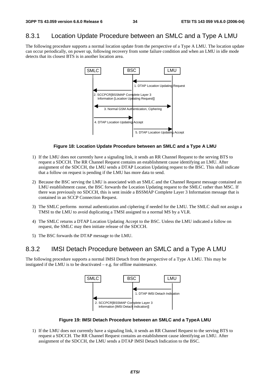## 8.3.1 Location Update Procedure between an SMLC and a Type A LMU

The following procedure supports a normal location update from the perspective of a Type A LMU. The location update can occur periodically, on power up, following recovery from some failure condition and when an LMU in idle mode detects that its closest BTS is in another location area.



#### **Figure 18: Location Update Procedure between an SMLC and a Type A LMU**

- 1) If the LMU does not currently have a signaling link, it sends an RR Channel Request to the serving BTS to request a SDCCH. The RR Channel Request contains an establishment cause identifying an LMU. After assignment of the SDCCH, the LMU sends a DTAP Location Updating request to the BSC. This shall indicate that a follow on request is pending if the LMU has more data to send.
- 2) Because the BSC serving the LMU is associated with an SMLC and the Channel Request message contained an LMU establishment cause, the BSC forwards the Location Updating request to the SMLC rather than MSC. If there was previously no SDCCH, this is sent inside a BSSMAP Complete Layer 3 Information message that is contained in an SCCP Connection Request.
- 3) The SMLC performs normal authentication and ciphering if needed for the LMU. The SMLC shall not assign a TMSI to the LMU to avoid duplicating a TMSI assigned to a normal MS by a VLR.
- 4) The SMLC returns a DTAP Location Updating Accept to the BSC. Unless the LMU indicated a follow on request, the SMLC may then initiate release of the SDCCH.
- 5) The BSC forwards the DTAP message to the LMU.

## 8.3.2 IMSI Detach Procedure between an SMLC and a Type A LMU

The following procedure supports a normal IMSI Detach from the perspective of a Type A LMU. This may be instigated if the LMU is to be deactivated – e.g. for offline maintenance.



**Figure 19: IMSI Detach Procedure between an SMLC and a TypeA LMU** 

1) If the LMU does not currently have a signaling link, it sends an RR Channel Request to the serving BTS to request a SDCCH. The RR Channel Request contains an establishment cause identifying an LMU. After assignment of the SDCCH, the LMU sends a DTAP IMSI Detach Indication to the BSC.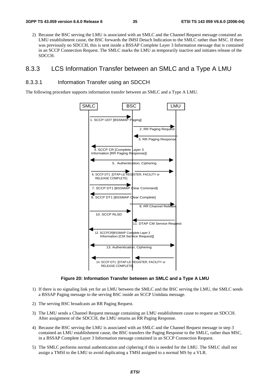2) Because the BSC serving the LMU is associated with an SMLC and the Channel Request message contained an LMU establishment cause, the BSC forwards the IMSI Detach Indication to the SMLC rather than MSC. If there was previously no SDCCH, this is sent inside a BSSAP Complete Layer 3 Information message that is contained in an SCCP Connection Request. The SMLC marks the LMU as temporarily inactive and initiates release of the SDCCH.

### 8.3.3 LCS Information Transfer between an SMLC and a Type A LMU

#### 8.3.3.1 Information Transfer using an SDCCH

The following procedure supports information transfer between an SMLC and a Type A LMU.



#### **Figure 20: Information Transfer between an SMLC and a Type A LMU**

- 1) If there is no signaling link yet for an LMU between the SMLC and the BSC serving the LMU, the SMLC sends a BSSAP Paging message to the serving BSC inside an SCCP Unitdata message.
- 2) The serving BSC broadcasts an RR Paging Request.
- 3) The LMU sends a Channel Request message containing an LMU establishment cause to request an SDCCH. After assignment of the SDCCH, the LMU returns an RR Paging Response.
- 4) Because the BSC serving the LMU is associated with an SMLC and the Channel Request message in step 3 contained an LMU establishment cause, the BSC transfers the Paging Response to the SMLC, rather than MSC, in a BSSAP Complete Layer 3 Information message contained in an SCCP Connection Request.
- 5) The SMLC performs normal authentication and ciphering if this is needed for the LMU. The SMLC shall not assign a TMSI to the LMU to avoid duplicating a TMSI assigned to a normal MS by a VLR.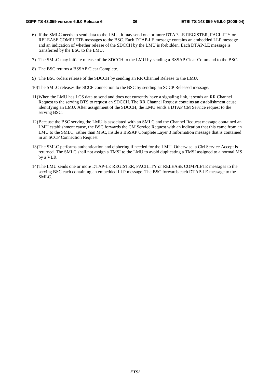- 6) If the SMLC needs to send data to the LMU, it may send one or more DTAP-LE REGISTER, FACILITY or RELEASE COMPLETE messages to the BSC. Each DTAP-LE message contains an embedded LLP message and an indication of whether release of the SDCCH by the LMU is forbidden. Each DTAP-LE message is transferred by the BSC to the LMU.
- 7) The SMLC may initiate release of the SDCCH to the LMU by sending a BSSAP Clear Command to the BSC.
- 8) The BSC returns a BSSAP Clear Complete.
- 9) The BSC orders release of the SDCCH by sending an RR Channel Release to the LMU.
- 10) The SMLC releases the SCCP connection to the BSC by sending an SCCP Released message.
- 11) When the LMU has LCS data to send and does not currently have a signaling link, it sends an RR Channel Request to the serving BTS to request an SDCCH. The RR Channel Request contains an establishment cause identifying an LMU. After assignment of the SDCCH, the LMU sends a DTAP CM Service request to the serving BSC.
- 12) Because the BSC serving the LMU is associated with an SMLC and the Channel Request message contained an LMU establishment cause, the BSC forwards the CM Service Request with an indication that this came from an LMU to the SMLC, rather than MSC, inside a BSSAP Complete Layer 3 Information message that is contained in an SCCP Connection Request.
- 13) The SMLC performs authentication and ciphering if needed for the LMU. Otherwise, a CM Service Accept is returned. The SMLC shall not assign a TMSI to the LMU to avoid duplicating a TMSI assigned to a normal MS by a VLR.
- 14) The LMU sends one or more DTAP-LE REGISTER, FACILITY or RELEASE COMPLETE messages to the serving BSC each containing an embedded LLP message. The BSC forwards each DTAP-LE message to the SMLC.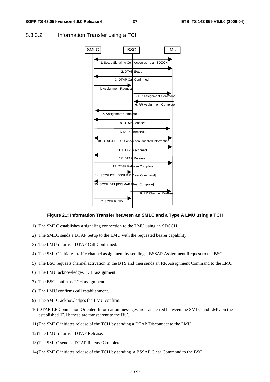

#### 8.3.3.2 Information Transfer using a TCH

#### **Figure 21: Information Transfer between an SMLC and a Type A LMU using a TCH**

- 1) The SMLC establishes a signaling connection to the LMU using an SDCCH.
- 2) The SMLC sends a DTAP Setup to the LMU with the requested bearer capability.
- 3) The LMU returns a DTAP Call Confirmed.
- 4) The SMLC initiates traffic channel assignment by sending a BSSAP Assignment Request to the BSC.
- 5) The BSC requests channel activation in the BTS and then sends an RR Assignment Command to the LMU.
- 6) The LMU acknowledges TCH assignment.
- 7) The BSC confirms TCH assignment.
- 8) The LMU confirms call establishment.
- 9) The SMLC acknowledges the LMU confirm.
- 10) DTAP-LE Connection Oriented Information messages are transferred between the SMLC and LMU on the established TCH: these are transparent to the BSC.
- 11) The SMLC initiates release of the TCH by sending a DTAP Disconnect to the LMU
- 12) The LMU returns a DTAP Release.
- 13) The SMLC sends a DTAP Release Complete.
- 14) The SMLC initiates release of the TCH by sending a BSSAP Clear Command to the BSC.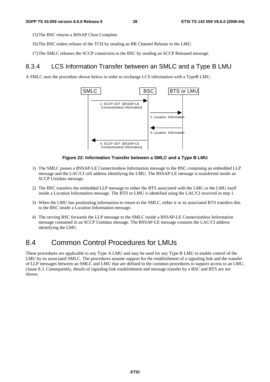15) The BSC returns a BSSAP Clear Complete.

- 16) The BSC orders release of the TCH by sending an RR Channel Release to the LMU.
- 17) The SMLC releases the SCCP connection to the BSC by sending an SCCP Released message.

### 8.3.4 LCS Information Transfer between an SMLC and a Type B LMU

A SMLC uses the procedure shown below in order to exchange LCS information with a TypeB LMU.



#### **Figure 22: Information Transfer between a SMLC and a Type B LMU**

- 1) The SMLC passes a BSSAP-LE Connectionless Information message to the BSC containing an embedded LLP message and the LAC/CI cell address identifying the LMU. The BSSAP-LE message is transferred inside an SCCP Unitdata message.
- 2) The BSC transfers the embedded LLP message to either the BTS associated with the LMU or the LMU itself inside a Location Information message. The BTS or LMU is identified using the LAC/CI received in step 1.
- 3) When the LMU has positioning information to return to the SMLC, either it or its associated BTS transfers this to the BSC inside a Location Information message..
- 4) The serving BSC forwards the LLP message to the SMLC inside a BSSAP-LE Connectionless Information message contained in an SCCP Unitdata message. The BSSAP-LE message contains the LAC/CI address identifying the LMU.

## 8.4 Common Control Procedures for LMUs

These procedures are applicable to any Type A LMU and may be used for any Type B LMU to enable control of the LMU by its associated SMLC. The procedures assume support for the establishment of a signaling link and the transfer of LLP messages between an SMLC and LMU that are defined in the common procedures to support access to an LMU, clause 8.3. Consequently, details of signaling link establishment and message transfer by a BSC and BTS are not shown.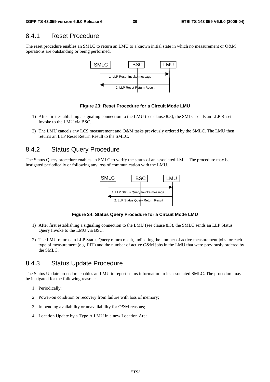## 8.4.1 Reset Procedure

The reset procedure enables an SMLC to return an LMU to a known initial state in which no measurement or O&M operations are outstanding or being performed.



#### **Figure 23: Reset Procedure for a Circuit Mode LMU**

- 1) After first establishing a signaling connection to the LMU (see clause 8.3), the SMLC sends an LLP Reset Invoke to the LMU via BSC.
- 2) The LMU cancels any LCS measurement and O&M tasks previously ordered by the SMLC. The LMU then returns an LLP Reset Return Result to the SMLC.

### 8.4.2 Status Query Procedure

The Status Query procedure enables an SMLC to verify the status of an associated LMU. The procedure may be instigated periodically or following any loss of communication with the LMU.



**Figure 24: Status Query Procedure for a Circuit Mode LMU** 

- 1) After first establishing a signaling connection to the LMU (see clause 8.3), the SMLC sends an LLP Status Query Invoke to the LMU via BSC.
- 2) The LMU returns an LLP Status Query return result, indicating the number of active measurement jobs for each type of measurement (e.g. RIT) and the number of active O&M jobs in the LMU that were previously ordered by the SMLC.

### 8.4.3 Status Update Procedure

The Status Update procedure enables an LMU to report status information to its associated SMLC. The procedure may be instigated for the following reasons:

- 1. Periodically;
- 2. Power-on condition or recovery from failure with loss of memory;
- 3. Impending availability or unavailability for O&M reasons;
- 4. Location Update by a Type A LMU in a new Location Area.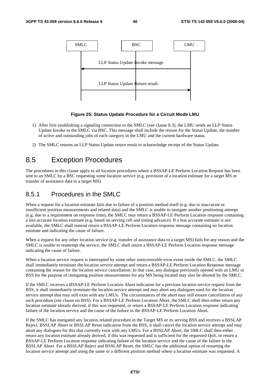

#### **Figure 25: Status Update Procedure for a Circuit Mode LMU**

- 1) After first establishing a signaling connection to the SMLC (see clause 8.3), the LMU sends an LLP Status Update Invoke to the SMLC via BSC. This message shall include the reason for the Status Update, the number of active and outstanding jobs of each category in the LMU and the current hardware status.
- 2) The SMLC returns an LLP Status Update return result to acknowledge receipt of the Status Update.

## 8.5 Exception Procedures

The procedures in this clause apply to all location procedures where a BSSAP-LE Perform Location Request has been sent to an SMLC by a BSC requesting some location service (e.g. provision of a location estimate for a target MS or transfer of assistance data to a target MS).

### 8.5.1 Procedures in the SMLC

When a request for a location estimate fails due to failure of a position method itself (e.g. due to inaccurate or insufficient position measurements and related data) and the SMLC is unable to instigate another positioning attempt (e.g. due to a requirement on response time), the SMLC may return a BSSAP-LE Perform Location response containing a less accurate location estimate (e.g. based on serving cell and timing advance). If a less accurate estimate is not available, the SMLC shall instead return a BSSAP-LE Perform Location response message containing no location estimate and indicating the cause of failure.

When a request for any other location service (e.g. transfer of assistance data to a target MS) fails for any reason and the SMLC is unable to reattempt the service, the SMLC shall return a BSSAP-LE Perform Location response message indicating the cause of failure.

When a location service request is interrupted by some other unrecoverable error event inside the SMLC, the SMLC shall immediately terminate the location service attempt and return a BSSAP-LE Perform Location Response message containing the reason for the location service cancellation. In that case, any dialogue previously opened with an LMU or BSS for the purpose of instigating position measurements for any MS being located may also be aborted by the SMLC.

If the SMLC receives a BSSAP-LE Perform Location Abort indication for a previous location service request from the BSS, it shall immediately terminate the location service attempt and may abort any dialogues used for the location service attempt that may still exist with any LMUs. The circumstances of the abort may still ensure cancellation of any such procedure (see clause on BSS). For a BSSAP-LE Perform Location Abort, the SMLC shall then either return any location estimate already derived, if this was requested, or return a BSSAP-LE Perform Location response indicating failure of the location service and the cause of the failure in the BSSAP-LE Perform Location Abort.

If the SMLC has instigated any location related procedure in the Target MS or its serving BSS and receives a BSSLAP Reject, BSSLAP Abort or BSSLAP Reset indication from the BSS, it shall cancel the location service attempt and may abort any dialogues for this that currently exist with any LMUs. For a BSSLAP Abort, the SMLC shall then either return any location estimate already derived, if this was requested and is sufficient for the requested QoS, or return a BSSAP-LE Perform Location response indicating failure of the location service and the cause of the failure in the BSSLAP Abort. For a BSSLAP Reject and BSSLAP Reset, the SMLC has the additional option of restarting the location service attempt and using the same or a different position method where a location estimate was requested. A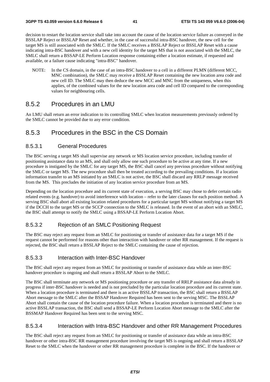decision to restart the location service shall take into account the cause of the location service failure as conveyed in the BSSLAP Reject or BSSLAP Reset and whether, in the case of successful intra-BSC handover, the new cell for the target MS is still associated with the SMLC. If the SMLC receives a BSSLAP Reject or BSSLAP Reset with a cause indicating intra-BSC handover and with a new cell identity for the target MS that is not associated with the SMLC, the SMLC shall return a BSSAP-LE Perform Location response containing either a location estimate, if requested and available, or a failure cause indicating "intra-BSC" handover.

NOTE: In the CS domain, in the case of an intra-BSC handover to a cell in a different PLMN (different MCC, MNC combination), the SMLC may receive a BSSLAP Reset containing the new location area code and new cell ID. The SMLC may then deduce the new MCC and MNC from the uniqueness, when this applies, of the combined values for the new location area code and cell ID compared to the corresponding values for neighbouring cells.

### 8.5.2 Procedures in an LMU

An LMU shall return an error indication to its controlling SMLC when location measurements previously ordered by the SMLC cannot be provided due to any error condition.

### 8.5.3 Procedures in the BSC in the CS Domain

#### 8.5.3.1 General Procedures

The BSC serving a target MS shall supervise any network or MS location service procedure, including transfer of positioning assistance data to an MS, and shall only allow one such procedure to be active at any time. If a new procedure is instigated by the SMLC for any target MS, the BSC shall cancel any previous procedure without notifying the SMLC or target MS. The new procedure shall then be treated according to the prevailing conditions. If a location information transfer to an MS initiated by an SMLC is not active, the BSC shall discard any RRLP message received from the MS. This precludes the initiation of any location service procedure from an MS.

Depending on the location procedure and its current state of execution, a serving BSC may chose to defer certain radio related events (e.g. handover) to avoid interference with location – refer to the later clauses for each position method. A serving BSC shall abort all existing location related procedures for a particular target MS without notifying a target MS if the DCCH to the target MS or the SCCP connection to the SMLC is released. In the event of an abort with an SMLC, the BSC shall attempt to notify the SMLC using a BSSAP-LE Perform Location Abort.

#### 8.5.3.2 Rejection of an SMLC Positioning Request

The BSC may reject any request from an SMLC for positioning or transfer of assistance data for a target MS if the request cannot be performed for reasons other than interaction with handover or other RR management. If the request is rejected, the BSC shall return a BSSLAP Reject to the SMLC containing the cause of rejection.

#### 8.5.3.3 Interaction with Inter-BSC Handover

The BSC shall reject any request from an SMLC for positioning or transfer of assistance data while an inter-BSC handover procedure is ongoing and shall return a BSSLAP Abort to the SMLC.

The BSC shall terminate any network or MS positioning procedure or any transfer of RRLP assistance data already in progress if inter-BSC handover is needed and is not precluded by the particular location procedure and its current state. When a location procedure is terminated and there is an active BSSLAP transaction, the BSC shall return a BSSLAP Abort message to the SMLC after the BSSAP Handover Required has been sent to the serving MSC. The BSSLAP Abort shall contain the cause of the location procedure failure. When a location procedure is terminated and there is no active BSSLAP transaction, the BSC shall send a BSSAP-LE Perform Location Abort message to the SMLC after the BSSMAP Handover Required has been sent to the serving MSC.

#### 8.5.3.4 Interaction with Intra-BSC Handover and other RR Management Procedures

The BSC shall reject any request from an SMLC for positioning or transfer of assistance data while an intra-BSC handover or other intra-BSC RR management procedure involving the target MS is ongoing and shall return a BSSLAP Reset to the SMLC when the handover or other RR management procedure is complete in the BSC. If the handover or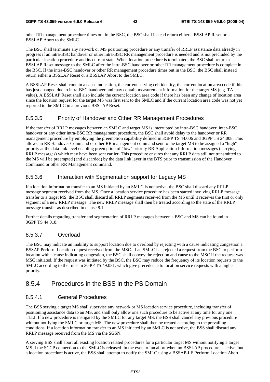other RR management procedure times out in the BSC, the BSC shall instead return either a BSSLAP Reset or a BSSLAP Abort to the SMLC.

The BSC shall terminate any network or MS positioning procedure or any transfer of RRLP assistance data already in progress if an intra-BSC handover or other intra-BSC RR management procedure is needed and is not precluded by the particular location procedure and its current state. When location procedure is terminated, the BSC shall return a BSSLAP Reset message to the SMLC after the intra-BSC handover or other RR management procedure is complete in the BSC. If the intra-BSC handover or other RR management procedure times out in the BSC, the BSC shall instead return either a BSSLAP Reset or a BSSLAP Abort to the SMLC.

A BSSLAP Reset shall contain a cause indication, the current serving cell identity, the current location area code if this has just changed due to intra-BSC handover and may contain measurement information for the target MS (e.g. TA value). A BSSLAP Reset shall also include the current location area code if there has been any change of location area since the location request for the target MS was first sent to the SMLC and if the current location area code was not yet reported to the SMLC in a previous BSSLAP Reset.

#### 8.5.3.5 Priority of Handover and Other RR Management Procedures

If the transfer of RRLP messages between an SMLC and target MS is interrupted by intra-BSC handover, inter-BSC handover or any other intra-BSC RR management procedure, the BSC shall avoid delay to the handover or RR management procedure by employing the preemption capability defined in 3GPP TS 44.006 and 3GPP TS 24.008. This allows an RR Handover Command or other RR management command sent to the target MS to be assigned a "high" priority at the data link level enabling preemption of "low" priority RR Application Information messages (carrying RRLP messages) which may have been sent earlier. This procedure ensures that any RRLP data still not transmitted to the MS will be preempted (and discarded) by the data link layer in the BTS prior to transmission of the Handover Command or other RR Management command.

### 8.5.3.6 Interaction with Segmentation support for Legacy MS

If a location information transfer to an MS initiated by an SMLC is not active, the BSC shall discard any RRLP message segment received from the MS. Once a location service procedure has been started involving RRLP message transfer to a target MS, the BSC shall discard all RRLP segments received from the MS until it receives the first or only segment of a new RRLP message. The new RRLP message shall then be treated according to the state of the RRLP message transfer as described in clause 8.1.

Further details regarding transfer and segmentation of RRLP messages between a BSC and MS can be found in 3GPP TS 44.018.

### 8.5.3.7 Overload

The BSC may indicate an inability to support location due to overload by rejecting with a cause indicating congestion a BSSAP Perform Location request received from the MSC. If an SMLC has rejected a request from the BSC to perform location with a cause indicating congestion, the BSC shall convey the rejection and cause to the MSC if the request was MSC initiated. If the request was initiated by the BSC, the BSC may reduce the frequency of its location requests to the SMLC according to the rules in 3GPP TS 49.031, which give precedence to location service requests with a higher priority.

### 8.5.4 Procedures in the BSS in the PS Domain

### 8.5.4.1 General Procedures

The BSS serving a target MS shall supervise any network or MS location service procedure, including transfer of positioning assistance data to an MS, and shall only allow one such procedure to be active at any time for any one TLLI. If a new procedure is instigated by the SMLC for any target MS, the BSS shall cancel any previous procedure without notifying the SMLC or target MS. The new procedure shall then be treated according to the prevailing conditions. If a location information transfer to an MS initiated by an SMLC is not active, the BSS shall discard any RRLP message received from the MS via the SGSN.

A serving BSS shall abort all existing location related procedures for a particular target MS without notifying a target MS if the SCCP connection to the SMLC is released. In the event of an abort when no BSSLAP procedure is active, but a location procedure is active, the BSS shall attempt to notify the SMLC using a BSSAP-LE Perform Location Abort.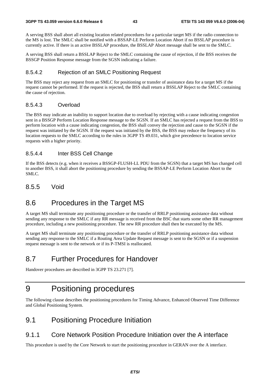A serving BSS shall abort all existing location related procedures for a particular target MS if the radio connection to the MS is lost. The SMLC shall be notified with a BSSAP-LE Perform Location Abort if no BSSLAP procedure is currently active. If there is an active BSSLAP procedure, the BSSLAP Abort message shall be sent to the SMLC.

A serving BSS shall return a BSSLAP Reject to the SMLC containing the cause of rejection, if the BSS receives the BSSGP Position Response message from the SGSN indicating a failure.

#### 8.5.4.2 Rejection of an SMLC Positioning Request

The BSS may reject any request from an SMLC for positioning or transfer of assistance data for a target MS if the request cannot be performed. If the request is rejected, the BSS shall return a BSSLAP Reject to the SMLC containing the cause of rejection.

#### 8.5.4.3 Overload

The BSS may indicate an inability to support location due to overload by rejecting with a cause indicating congestion sent in a BSSGP Perform Location Response message to the SGSN. If an SMLC has rejected a request from the BSS to perform location with a cause indicating congestion, the BSS shall convey the rejection and cause to the SGSN if the request was initiated by the SGSN. If the request was initiated by the BSS, the BSS may reduce the frequency of its location requests to the SMLC according to the rules in 3GPP TS 49.031, which give precedence to location service requests with a higher priority.

#### 8.5.4.4 Inter BSS Cell Change

If the BSS detects (e.g. when it receives a BSSGP-FLUSH-LL PDU from the SGSN) that a target MS has changed cell to another BSS, it shall abort the positioning procedure by sending the BSSAP-LE Perform Location Abort to the SMLC.

### 8.5.5 Void

## 8.6 Procedures in the Target MS

A target MS shall terminate any positioning procedure or the transfer of RRLP positioning assistance data without sending any response to the SMLC if any RR message is received from the BSC that starts some other RR management procedure, including a new positioning procedure. The new RR procedure shall then be executed by the MS.

A target MS shall terminate any positioning procedure or the transfer of RRLP positioning assistance data without sending any response to the SMLC if a Routing Area Update Request message is sent to the SGSN or if a suspension request message is sent to the network or if its P-TMSI is reallocated.

## 8.7 Further Procedures for Handover

Handover procedures are described in 3GPP TS 23.271 [7].

## 9 Positioning procedures

The following clause describes the positioning procedures for Timing Advance, Enhanced Observed Time Difference and Global Positioning System.

## 9.1 Positioning Procedure Initiation

### 9.1.1 Core Network Position Procedure Initiation over the A interface

This procedure is used by the Core Network to start the positioning procedure in GERAN over the A interface.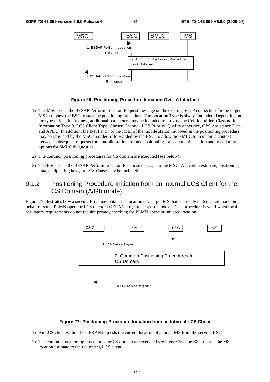

#### **Figure 26: Positioning Procedure Initiation Over A Interface**

- 1) The MSC sends the BSSAP Perform Location Request message on the existing SCCP connection for the target MS to request the BSC to start the positioning procedure. The Location Type is always included. Depending on the type of location request, additional parameters may be included to provide the Cell Identifier, Classmark Information Type 3, LCS Client Type, Chosen Channel, LCS Priority, Quality of service, GPS Assistance Data, and APDU. In addition, the IMSI and / or the IMEI of the mobile station involved in the positioning procedure may be provided by the MSC in order, if forwarded by the BSC, to allow the SMLC to maintain a context between subsequent requests for a mobile station, to tune positioning for each mobile station and to add more options for SMLC diagnostics.
- 2) The common positioning procedures for CS domain are executed (see below).
- 3) The BSC sends the BSSAP Perform Location Response message to the MSC. A location estimate, positioning data, deciphering keys, or LCS Cause may be included.

## 9.1.2 Positioning Procedure Initiation from an Internal LCS Client for the CS Domain (A/Gb mode)

Figure 27 illustrates how a serving BSC may obtain the location of a target MS that is already in dedicated mode on behalf of some PLMN operator LCS client in GERAN – e.g. to support handover. The procedure is valid when local regulatory requirements do not require privacy checking for PLMN operator initiated location.



**Figure 27: Positioning Procedure Initiation from an Internal LCS Client** 

- 1) An LCS client within the GERAN requests the current location of a target MS from the serving BSC
- 2) The common positioning procedures for CS domain are executed see Figure 28. The BSC returns the MS location estimate to the requesting LCS client.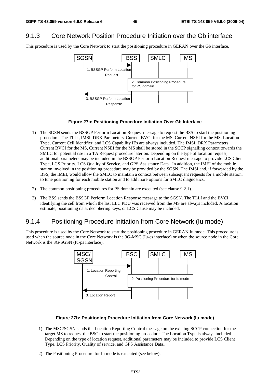## 9.1.3 Core Network Position Procedure Initiation over the Gb interface

This procedure is used by the Core Network to start the positioning procedure in GERAN over the Gb interface.



#### **Figure 27a: Positioning Procedure Initiation Over Gb Interface**

- 1) The SGSN sends the BSSGP Perform Location Request message to request the BSS to start the positioning procedure. The TLLI, IMSI, DRX Parameters, Current BVCI for the MS, Current NSEI for the MS, Location Type, Current Cell Identifier, and LCS Capability IEs are always included. The IMSI, DRX Parameters, Current BVCI for the MS, Current NSEI for the MS shall be stored in the SCCP signalling context towards the SMLC for potential use in a TA Request procedure later on. Depending on the type of location request, additional parameters may be included in the BSSGP Perform Location Request message to provide LCS Client Type, LCS Priority, LCS Quality of Service, and GPS Assistance Data. In addition, the IMEI of the mobile station involved in the positioning procedure may be provided by the SGSN. The IMSI and, if forwarded by the BSS, the IMEI, would allow the SMLC to maintain a context between subsequent requests for a mobile station, to tune positioning for each mobile station and to add more options for SMLC diagnostics.
- 2) The common positioning procedures for PS domain are executed (see clause 9.2.1).
- 3) The BSS sends the BSSGP Perform Location Response message to the SGSN. The TLLI and the BVCI identifying the cell from which the last LLC PDU was received from the MS are always included. A location estimate, positioning data, deciphering keys, or LCS Cause may be included.

### 9.1.4 Positioning Procedure Initiation from Core Network (Iu mode)

This procedure is used by the Core Network to start the positioning procedure in GERAN Iu mode. This procedure is used when the source node in the Core Network is the 3G-MSC (Iu-cs interface) or when the source node in the Core Network is the 3G-SGSN (Iu-ps interface).



#### **Figure 27b: Positioning Procedure Initiation from Core Network (Iu mode)**

- 1) The MSC/SGSN sends the Location Reporting Control message on the existing SCCP connection for the target MS to request the BSC to start the positioning procedure. The Location Type is always included. Depending on the type of location request, additional parameters may be included to provide LCS Client Type, LCS Priority, Quality of service, and GPS Assistance Data..
- 2) The Positioning Procedure for Iu mode is executed (see below).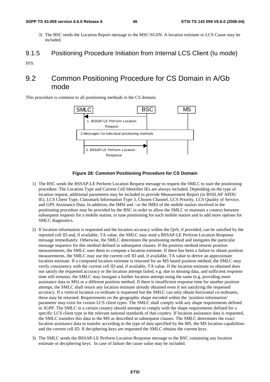#### **3GPP TS 43.059 version 6.6.0 Release 6 46 ETSI TS 143 059 V6.6.0 (2006-04)**

- 3) The BSC sends the Location Report message to the MSC/SGSN. A location estimate or LCS Cause may be included.
- 9.1.5 Positioning Procedure Initiation from Internal LCS Client (Iu mode)

FFS.

## 9.2 Common Positioning Procedure for CS Domain in A/Gb mode

This procedure is common to all positioning methods in the CS domain.



#### **Figure 28: Common Positioning Procedure for CS Domain**

- 1) The BSC sends the BSSAP-LE Perform Location Request message to request the SMLC to start the positioning procedure. The Location Type and Current Cell Identifier IEs are always included. Depending on the type of location request, additional parameters may be included to provide Measurement Report (in BSSLAP APDU IE), LCS Client Type, Classmark Information Type 3, Chosen Channel, LCS Priority, LCS Quality of Service, and GPS Assistance Data. In addition, the IMSI and / or the IMEI of the mobile station involved in the positioning procedure may be provided by the BSC in order to allow the SMLC to maintain a context between subsequent requests for a mobile station, to tune positioning for each mobile station and to add more options for SMLC diagnostics.
- 2) If location information is requested and the location accuracy within the QoS, if provided, can be satisfied by the reported cell ID and, if available, TA value, the SMLC may send a BSSAP-LE Perform Location Response message immediately. Otherwise, the SMLC determines the positioning method and instigates the particular message sequence for this method defined in subsequent clauses. If the position method returns position measurements, the SMLC uses them to compute a location estimate. If there has been a failure to obtain position measurements, the SMLC may use the current cell ID and, if available, TA value to derive an approximate location estimate. If a computed location estimate is returned for an MS based position method, the SMLC may verify consistency with the current cell ID and, if available, TA value. If the location estimate so obtained does not satisfy the requested accuracy or the location attempt failed, e.g. due to missing data, and sufficient response time still remains, the SMLC may instigate a further location attempt using the same (e.g. providing more assistance data to MS) or a different position method. If there is insufficient response time for another position attempt, the SMLC shall return any location estimate already obtained even if not satisfying the requested accuracy. If a vertical location co-ordinate is requested but the SMLC can only obtain horizontal co-ordinates, these may be returned. Requirements on the geographic shape encoded within the 'position information' parameter may exist for certain LCS client types. The SMLC shall comply with any shape requirements defined in 3GPP. The SMLC in a certain country should attempt to comply with the shape requirements defined for a specific LCS client type in the relevant national standards of that country. If location assistance data is requested, the SMLC transfers this data to the MS as described in subsequent clauses. The SMLC determines the exact location assistance data to transfer according to the type of data specified by the MS, the MS location capabilities and the current cell ID. If deciphering keys are requested the SMLC obtains the current keys.
- 3) The SMLC sends the BSSAP-LE Perform Location Response message to the BSC containing any location estimate or deciphering keys. In case of failure the cause value may be included.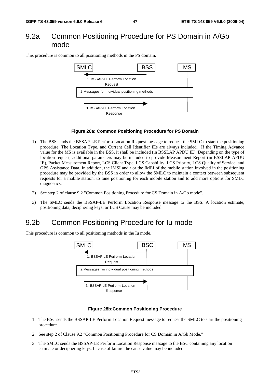## 9.2a Common Positioning Procedure for PS Domain in A/Gb mode

This procedure is common to all positioning methods in the PS domain.



#### **Figure 28a: Common Positioning Procedure for PS Domain**

- 1) The BSS sends the BSSAP-LE Perform Location Request message to request the SMLC to start the positioning procedure. The Location Type, and Current Cell Identifier IEs are always included. If the Timing Advance value for the MS is available in the BSS, it shall be included (in BSSLAP APDU IE). Depending on the type of location request, additional parameters may be included to provide Measurement Report (in BSSLAP APDU IE), Packet Measurement Report, LCS Client Type, LCS Capability, LCS Priority, LCS Quality of Service, and GPS Assistance Data. In addition, the IMSI and / or the IMEI of the mobile station involved in the positioning procedure may be provided by the BSS in order to allow the SMLC to maintain a context between subsequent requests for a mobile station, to tune positioning for each mobile station and to add more options for SMLC diagnostics.
- 2) See step 2 of clause 9.2 "Common Positioning Procedure for CS Domain in A/Gb mode".
- 3) The SMLC sends the BSSAP-LE Perform Location Response message to the BSS. A location estimate, positioning data, deciphering keys, or LCS Cause may be included.

## 9.2b Common Positioning Procedure for Iu mode

This procedure is common to all positioning methods in the Iu mode.



#### **Figure 28b:Common Positioning Procedure**

- 1. The BSC sends the BSSAP-LE Perform Location Request message to request the SMLC to start the positioning procedure.
- 2. See step 2 of Clause 9.2 "Common Positioning Procedure for CS Domain in A/Gb Mode."
- 3. The SMLC sends the BSSAP-LE Perform Location Response message to the BSC containing any location estimate or deciphering keys. In case of failure the cause value may be included.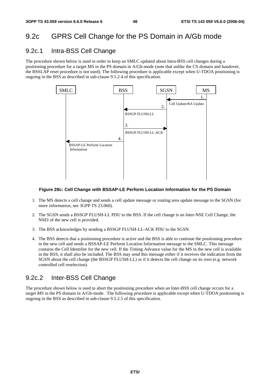## 9.2c GPRS Cell Change for the PS Domain in A/Gb mode

### 9.2c.1 Intra-BSS Cell Change

The procedure shown below is used in order to keep an SMLC updated about Intra-BSS cell changes during a positioning procedure for a target MS in the PS domain in A/Gb-mode (note that unlike the CS domain and handover, the BSSLAP reset procedure is not used). The following procedure is applicable except when U-TDOA positioning is ongoing in the BSS as described in sub-clause 9.5.2.4 of this specification.



#### **Figure 28c: Cell Change with BSSAP-LE Perform Location Information for the PS Domain**

- 1. The MS detects a cell change and sends a cell update message or routing area update message to the SGSN (for more information, see 3GPP TS 23.060).
- 2. The SGSN sends a BSSGP FLUSH-LL PDU to the BSS. If the cell change is an Inter-NSE Cell Change, the NSEI of the new cell is provided.
- 3. The BSS acknowledges by sending a BSSGP FLUSH-LL-ACK PDU to the SGSN.
- 4. The BSS detects that a positioning procedure is active and the BSS is able to continue the positioning procedure in the new cell and sends a BSSAP-LE Perform Location Information message to the SMLC. This message contains the Cell Identifier for the new cell. If the Timing Advance value for the MS in the new cell is available in the BSS, it shall also be included. The BSS may send this message either if it receives the indication from the SGSN about the cell change (the BSSGP FLUSH-LL) or if it detects the cell change on its own (e.g. network controlled cell reselection).

### 9.2c.2 Inter-BSS Cell Change

The procedure shown below is used to abort the positioning procedure when an Inter-BSS cell change occurs for a target MS in the PS domain in A/Gb-mode. The following procedure is applicable except when U-TDOA positioning is ongoing in the BSS as described in sub-clause 9.5.2.5 of this specification.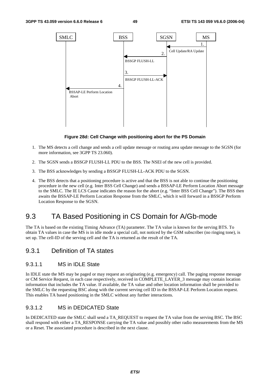

#### **Figure 28d: Cell Change with positioning abort for the PS Domain**

- 1. The MS detects a cell change and sends a cell update message or routing area update message to the SGSN (for more information, see 3GPP TS 23.060).
- 2. The SGSN sends a BSSGP FLUSH-LL PDU to the BSS. The NSEI of the new cell is provided.
- 3. The BSS acknowledges by sending a BSSGP FLUSH-LL-ACK PDU to the SGSN.
- 4. The BSS detects that a positioning procedure is active and that the BSS is not able to continue the positioning procedure in the new cell (e.g. Inter BSS Cell Change) and sends a BSSAP-LE Perform Location Abort message to the SMLC. The IE LCS Cause indicates the reason for the abort (e.g. "Inter BSS Cell Change"). The BSS then awaits the BSSAP-LE Perform Location Response from the SMLC, which it will forward in a BSSGP Perform Location Response to the SGSN.

## 9.3 TA Based Positioning in CS Domain for A/Gb-mode

The TA is based on the existing Timing Advance (TA) parameter. The TA value is known for the serving BTS. To obtain TA values in case the MS is in idle mode a special call, not noticed by the GSM subscriber (no ringing tone), is set up. The cell-ID of the serving cell and the TA is returned as the result of the TA.

### 9.3.1 Definition of TA states

### 9.3.1.1 MS in IDLE State

In IDLE state the MS may be paged or may request an originating (e.g. emergency) call. The paging response message or CM Service Request, in each case respectively, received in COMPLETE\_LAYER\_3 message may contain location information that includes the TA value. If available, the TA value and other location information shall be provided to the SMLC by the requesting BSC along with the current serving cell ID in the BSSAP-LE Perform Location request. This enables TA based positioning in the SMLC without any further interactions.

### 9.3.1.2 MS in DEDICATED State

In DEDICATED state the SMLC shall send a TA\_REQUEST to request the TA value from the serving BSC. The BSC shall respond with either a TA\_RESPONSE carrying the TA value and possibly other radio measurements from the MS or a Reset. The associated procedure is described in the next clause.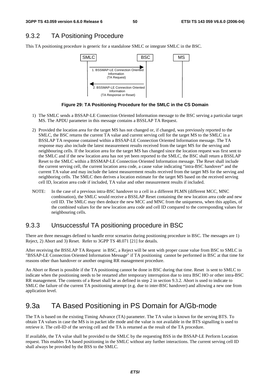## 9.3.2 TA Positioning Procedure

This TA positioning procedure is generic for a standalone SMLC or integrate SMLC in the BSC.



**Figure 29: TA Positioning Procedure for the SMLC in the CS Domain** 

- 1) The SMLC sends a BSSAP-LE Connection Oriented Information message to the BSC serving a particular target MS. The APDU parameter in this message contains a BSSLAP TA Request.
- 2) Provided the location area for the target MS has not changed or, if changed, was previously reported to the SMLC, the BSC returns the current TA value and current serving cell for the target MS to the SMLC in a BSSLAP TA response contained within a BSSAP-LE Connection Oriented Information message. The TA response may also include the latest measurement results received from the target MS for the serving and neighbouring cells. If the location area for the target MS has changed since the location request was first sent to the SMLC and if the new location area has not yet been reported to the SMLC, the BSC shall return a BSSLAP Reset to the SMLC within a BSSMAP-LE Connection Oriented Information message. The Reset shall include the current serving cell, the current location area code, a cause value indicating "intra-BSC handover" and the current TA value and may include the latest measurement results received from the target MS for the serving and neighboring cells. The SMLC then derives a location estimate for the target MS based on the received serving cell ID, location area code if included, TA value and other measurement results if included.
- NOTE: In the case of a previous intra-BSC handover to a cell in a different PLMN (different MCC, MNC combination), the SMLC would receive a BSSLAP Reset containing the new location area code and new cell ID. The SMLC may then deduce the new MCC and MNC from the uniqueness, when this applies, of the combined values for the new location area code and cell ID compared to the corresponding values for neighbouring cells.

## 9.3.3 Unsuccessful TA positioning procedure in BSC

There are three messages defined to handle error scenarios during positioning procedure in BSC. The messages are 1) Reject, 2) Abort and 3) Reset. Refer to 3GPP TS 48.071 [21] for details.

After receiving the BSSLAP TA Request in BSC, a Reject will be sent with proper cause value from BSC to SMLC in "BSSAP-LE Connection Oriented Information Message" if TA positioning cannot be performed in BSC at that time for reasons other than handover or another ongoing RR management procedure.

An Abort or Reset is possible if the TA positioning cannot be done in BSC during that time. Reset is sent to SMLC to indicate when the positioning needs to be restarted after temporary interruption due to intra BSC HO or other intra-BSC RR management. The contents of a Reset shall be as defined in step 2 in section 9.3.2. Abort is used to indicate to SMLC the failure of the current TA positioning attempt (e.g. due to inter-BSC handover) and allowing a new one from application level.

## 9.3a TA Based Positioning in PS Domain for A/Gb-mode

The TA is based on the existing Timing Advance (TA) parameter. The TA value is known for the serving BTS. To obtain TA values in case the MS is in packet idle mode and the value is not available in the BTS signalling is used to retrieve it. The cell-ID of the serving cell and the TA is returned as the result of the TA procedure.

If available, the TA value shall be provided to the SMLC by the requesting BSS in the BSSAP-LE Perform Location request. This enables TA based positioning in the SMLC without any further interactions. The current serving cell ID shall always be provided by the BSS to the SMLC.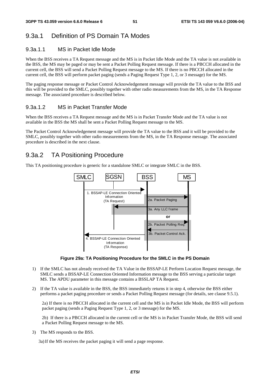## 9.3a.1 Definition of PS Domain TA Modes

### 9.3a.1.1 MS in Packet Idle Mode

When the BSS receives a TA Request message and the MS is in Packet Idle Mode and the TA value is not available in the BSS, the MS may be paged or may be sent a Packet Polling Request message. If there is a PBCCH allocated in the current cell, the BSS will send a Packet Polling Request message to the MS. If there is no PBCCH allocated in the current cell, the BSS will perform packet paging (sends a Paging Request Type 1, 2, or 3 message) for the MS.

The paging response message or Packet Control Acknowledgement message will provide the TA value to the BSS and this will be provided to the SMLC, possibly together with other radio measurements from the MS, in the TA Response message. The associated procedure is described below.

### 9.3a.1.2 MS in Packet Transfer Mode

When the BSS receives a TA Request message and the MS is in Packet Transfer Mode and the TA value is not available in the BSS the MS shall be sent a Packet Polling Request message to the MS.

The Packet Control Acknowledgement message will provide the TA value to the BSS and it will be provided to the SMLC, possibly together with other radio measurements from the MS, in the TA Response message. The associated procedure is described in the next clause.

## 9.3a.2 TA Positioning Procedure

This TA positioning procedure is generic for a standalone SMLC or integrate SMLC in the BSS.



**Figure 29a: TA Positioning Procedure for the SMLC in the PS Domain** 

- 1) If the SMLC has not already received the TA Value in the BSSAP-LE Perform Location Request message, the SMLC sends a BSSAP-LE Connection Oriented Information message to the BSS serving a particular target MS. The APDU parameter in this message contains a BSSLAP TA Request.
- 2) If the TA value is available in the BSS, the BSS immediately returns it in step 4, otherwise the BSS either performs a packet paging procedure or sends a Packet Polling Request message (for details, see clause 9.5.1).

2a) If there is no PBCCH allocated in the current cell and the MS is in Packet Idle Mode, the BSS will perform packet paging (sends a Paging Request Type 1, 2, or 3 message) for the MS.

2b) If there is a PBCCH allocated in the current cell or the MS is in Packet Transfer Mode, the BSS will send a Packet Polling Request message to the MS.

3) The MS responds to the BSS.

3a) If the MS receives the packet paging it will send a page response.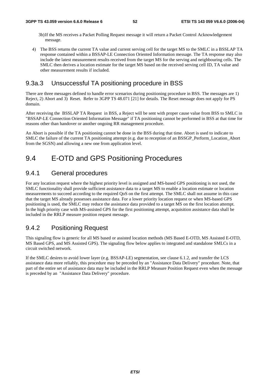- 3b) If the MS receives a Packet Polling Request message it will return a Packet Control Acknowledgement message.
- 4) The BSS returns the current TA value and current serving cell for the target MS to the SMLC in a BSSLAP TA response contained within a BSSAP-LE Connection Oriented Information message. The TA response may also include the latest measurement results received from the target MS for the serving and neighbouring cells. The SMLC then derives a location estimate for the target MS based on the received serving cell ID, TA value and other measurement results if included.

## 9.3a.3 Unsuccessful TA positioning procedure in BSS

There are three messages defined to handle error scenarios during positioning procedure in BSS. The messages are 1) Reject, 2) Abort and 3) Reset. Refer to 3GPP TS 48.071 [21] for details. The Reset message does not apply for PS domain.

After receiving the BSSLAP TA Request in BSS, a Reject will be sent with proper cause value from BSS to SMLC in "BSSAP-LE Connection Oriented Information Message" if TA positioning cannot be performed in BSS at that time for reasons other than handover or another ongoing RR management procedure.

An Abort is possible if the TA positioning cannot be done in the BSS during that time. Abort is used to indicate to SMLC the failure of the current TA positioning attempt (e.g. due to reception of an BSSGP\_Perform\_Location\_Abort from the SGSN) and allowing a new one from application level.

## 9.4 E-OTD and GPS Positioning Procedures

### 9.4.1 General procedures

For any location request where the highest priority level is assigned and MS-based GPS positioning is not used, the SMLC functionality shall provide sufficient assistance data to a target MS to enable a location estimate or location measurements to succeed according to the required QoS on the first attempt. The SMLC shall not assume in this case that the target MS already possesses assistance data. For a lower priority location request or when MS-based GPS positioning is used, the SMLC may reduce the assistance data provided to a target MS on the first location attempt. In the high priority case with MS-assisted GPS for the first positioning attempt, acquisition assistance data shall be included in the RRLP measure position request message.

### 9.4.2 Positioning Request

This signaling flow is generic for all MS based or assisted location methods (MS Based E-OTD, MS Assisted E-OTD, MS Based GPS, and MS Assisted GPS). The signaling flow below applies to integrated and standalone SMLCs in a circuit switched network.

If the SMLC desires to avoid lower layer (e.g. BSSAP-LE) segmentation, see clause 6.1.2, and transfer the LCS assistance data more reliably, this procedure may be preceded by an "Assistance Data Delivery" procedure. Note, that part of the entire set of assistance data may be included in the RRLP Measure Position Request even when the message is preceded by an "Assistance Data Delivery" procedure.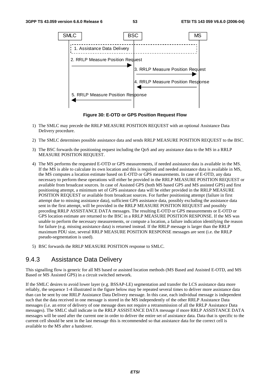

**Figure 30: E-OTD or GPS Position Request Flow** 

- 1) The SMLC may precede the RRLP MEASURE POSITION REQUEST with an optional Assistance Data Delivery procedure.
- 2) The SMLC determines possible assistance data and sends RRLP MEASURE POSITION REQUEST to the BSC.
- 3) The BSC forwards the positioning request including the QoS and any assistance data to the MS in a RRLP MEASURE POSITION REQUEST.
- 4) The MS performs the requested E-OTD or GPS measurements, if needed assistance data is available in the MS. If the MS is able to calculate its own location and this is required and needed assistance data is available in MS, the MS computes a location estimate based on E-OTD or GPS measurements. In case of E-OTD, any data necessary to perform these operations will either be provided in the RRLP MEASURE POSITION REQUEST or available from broadcast sources. In case of Assisted GPS (both MS based GPS and MS assisted GPS) and first positioning attempt, a minimum set of GPS assistance data will be either provided in the RRLP MEASURE POSITION REQUEST or available from broadcast sources. For further positioning attempt (failure in first attempt due to missing assistance data), sufficient GPS assistance data, possibly excluding the assistance data sent in the first attempt, will be provided in the RRLP MEASURE POSITION REQUEST and possibly preceding RRLP ASSISTANCE DATA messages. The resulting E-OTD or GPS measurements or E-OTD or GPS location estimate are returned to the BSC in a RRLP MEASURE POSITION RESPONSE. If the MS was unable to perform the necessary measurements, or compute a location, a failure indication identifying the reason for failure (e.g. missing assistance data) is returned instead. If the RRLP message is larger than the RRLP maximum PDU size, several RRLP MEASURE POSITION RESPONSE messages are sent (i.e. the RRLP pseudo-segmentation is used).
- 5) BSC forwards the RRLP MEASURE POSITION response to SMLC.

## 9.4.3 Assistance Data Delivery

This signalling flow is generic for all MS based or assisted location methods (MS Based and Assisted E-OTD, and MS Based or MS Assisted GPS) in a circuit switched network.

If the SMLC desires to avoid lower layer (e.g. BSSAP-LE) segmentation and transfer the LCS assistance data more reliably, the sequence 1-4 illustrated in the figure below may be repeated several times to deliver more assistance data than can be sent by one RRLP Assistance Data Delivery message. In this case, each individual message is independent such that the data received in one message is stored in the MS independently of the other RRLP Assistance Data messages (i.e. an error of delivery of one message does not require a retransmission of all the RRLP Assistance Data messages). The SMLC shall indicate in the RRLP ASSISTANCE DATA message if more RRLP ASSISTANCE DATA messages will be used after the current one in order to deliver the entire set of assistance data. Data that is specific to the current cell should be sent in the last message this is recommended so that assistance data for the correct cell is available to the MS after a handover.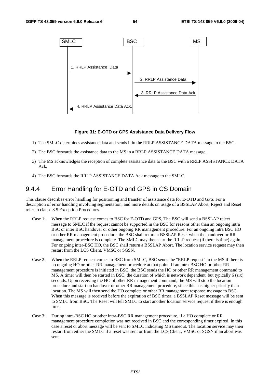

#### **Figure 31: E-OTD or GPS Assistance Data Delivery Flow**

- 1) The SMLC determines assistance data and sends it in the RRLP ASSISTANCE DATA message to the BSC.
- 2) The BSC forwards the assistance data to the MS in a RRLP ASSISTANCE DATA message.
- 3) The MS acknowledges the reception of complete assistance data to the BSC with a RRLP ASSISTANCE DATA Ack.
- 4) The BSC forwards the RRLP ASSISTANCE DATA Ack message to the SMLC.

### 9.4.4 Error Handling for E-OTD and GPS in CS Domain

This clause describes error handling for positioning and transfer of assistance data for E-OTD and GPS. For a description of error handling involving segmentation, and more details on usage of a BSSLAP Abort, Reject and Reset refer to clause 8.5 Exception Procedures.

- Case 1: When the RRLP request comes to BSC for E-OTD and GPS, The BSC will send a BSSLAP reject message to SMLC if the request cannot be supported in the BSC for reasons other than an ongoing intra BSC or inter BSC handover or other ongoing RR management procedure. For an ongoing intra BSC HO or other RR management procedure, the BSC shall return a BSSLAP Reset when the handover or RR management procedure is complete. The SMLC may then start the RRLP request (if there is time) again. For ongoing inter-BSC HO, the BSC shall return a BSSLAP Abort. The location service request may then restart from the LCS Client, VMSC or SGSN.
- Case 2: When the RRLP request comes to BSC from SMLC, BSC sends the "RRLP request" to the MS if there is no ongoing HO or other RR management procedure at that point. If an intra-BSC HO or other RR management procedure is initiated in BSC, the BSC sends the HO or other RR management command to MS. A timer will then be started in BSC, the duration of which is network dependent, but typically 6 (six) seconds. Upon receiving the HO of other RR management command, the MS will stop the location procedure and start on handover or other RR management procedure, since this has higher priority than location. The MS will then send the HO complete or other RR management response message to BSC. When this message is received before the expiration of BSC timer, a BSSLAP Reset message will be sent to SMLC from BSC. The Reset will tell SMLC to start another location service request if there is enough time.
- Case 3: During intra-BSC HO or other intra-BSC RR management procedure, if a HO complete or RR management procedure completion was not received in BSC and the corresponding timer expired. In this case a reset or abort message will be sent to SMLC indicating MS timeout. The location service may then restart from either the SMLC if a reset was sent or from the LCS Client, VMSC or SGSN if an abort was sent.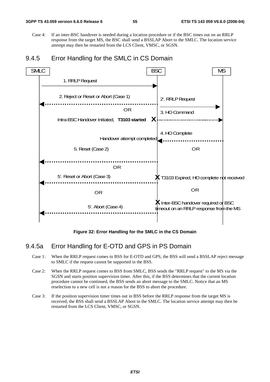Case 4: If an inter-BSC handover is needed during a location procedure or if the BSC times out on an RRLP response from the target MS, the BSC shall send a BSSLAP Abort to the SMLC. The location service attempt may then be restarted from the LCS Client, VMSC, or SGSN.

### 9.4.5 Error Handling for the SMLC in CS Domain



**Figure 32: Error Handling for the SMLC in the CS Domain** 

### 9.4.5a Error Handling for E-OTD and GPS in PS Domain

- Case 1: When the RRLP request comes to BSS for E-OTD and GPS, the BSS will send a BSSLAP reject message to SMLC if the request cannot be supported in the BSS.
- Case 2: When the RRLP request comes to BSS from SMLC, BSS sends the "RRLP request" to the MS via the SGSN and starts position supervision timer. After this, if the BSS determines that the current location procedure cannot be continued, the BSS sends an abort message to the SMLC. Notice that an MS reselection to a new cell is not a reason for the BSS to abort the procedure.
- Case 3: If the position supervision timer times out in BSS before the RRLP response from the target MS is received, the BSS shall send a BSSLAP Abort to the SMLC. The location service attempt may then be restarted from the LCS Client, VMSC, or SGSN.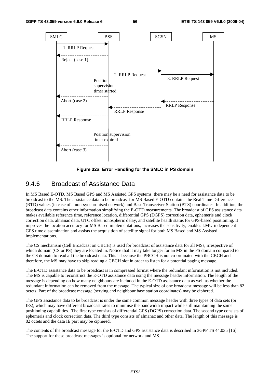

**Figure 32a: Error Handling for the SMLC in PS domain** 

### 9.4.6 Broadcast of Assistance Data

In MS Based E-OTD, MS Based GPS and MS Assisted GPS systems, there may be a need for assistance data to be broadcast to the MS. The assistance data to be broadcast for MS Based E-OTD contains the Real Time Difference (RTD) values (in case of a non-synchronised network) and Base Transceiver Station (BTS) coordinates. In addition, the broadcast data contains other information simplifying the E-OTD measurements. The broadcast of GPS assistance data makes available reference time, reference location, differential GPS (DGPS) correction data, ephemeris and clock correction data, almanac data, UTC offset, ionospheric delay, and satellite health status for GPS-based positioning. It improves the location accuracy for MS Based implementations, increases the sensitivity, enables LMU-independent GPS time dissemination and assists the acquisition of satellite signal for both MS Based and MS Assisted implementations.

The CS mechanism (Cell Broadcast on CBCH) is used for broadcast of assistance data for all MSs, irrespective of which domain (CS or PS) they are located in. Notice that it may take longer for an MS in the PS domain compared to the CS domain to read all the broadcast data. This is because the PBCCH is not co-ordinated with the CBCH and therefore, the MS may have to skip reading a CBCH slot in order to listen for a potential paging message.

The E-OTD assistance data to be broadcast is in compressed format where the redundant information is not included. The MS is capable to reconstruct the E-OTD assistance data using the message header information. The length of the message is depending on how many neighbours are included in the E-OTD assistance data as well as whether the redundant information can be removed from the message. The typical size of one broadcast message will be less than 82 octets. Part of the broadcast message (serving and neighbour base station coordinates) may be ciphered.

The GPS assistance data to be broadcast is under the same common message header with three types of data sets (or IEs), which may have different broadcast rates to minimise the bandwidth impact while still maintaining the same positioning capabilities. The first type consists of differential GPS (DGPS) correction data. The second type consists of ephemeris and clock correction data. The third type consists of almanac and other data. The length of this message is 82 octets and the data IE part may be ciphered.

The contents of the broadcast message for the E-OTD and GPS assistance data is described in 3GPP TS 44.035 [16]. The support for these broadcast messages is optional for network and MS.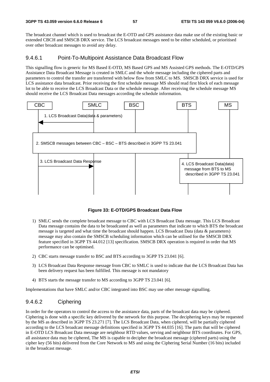The broadcast channel which is used to broadcast the E-OTD and GPS assistance data make use of the existing basic or extended CBCH and SMSCB DRX service. The LCS broadcast messages need to be either scheduled, or prioritised over other broadcast messages to avoid any delay.

#### 9.4.6.1 Point-To-Multipoint Assistance Data Broadcast Flow

This signalling flow is generic for MS Based E-OTD, MS Based GPS and MS Assisted GPS methods. The E-OTD/GPS Assistance Data Broadcast Message is created in SMLC and the whole message including the ciphered parts and parameters to control the transfer are transferred with below flow from SMLC to MS. SMSCB DRX service is used for LCS assistance data broadcast. Prior receiving the first schedule message MS should read first block of each message lot to be able to receive the LCS Broadcast Data or the schedule message. After receiving the schedule message MS should receive the LCS Broadcast Data messages according the schedule information.



**Figure 33: E-OTD/GPS Broadcast Data Flow** 

- 1) SMLC sends the complete broadcast message to CBC with LCS Broadcast Data message. This LCS Broadcast Data message contains the data to be broadcasted as well as parameters that indicate to which BTS the broadcast message is targeted and what time the broadcast should happen. LCS Broadcast Data (data & parameters) message may also contain the SMSCB scheduling information which can be utilised for the SMSCB DRX feature specified in 3GPP TS 44.012 [13] specification. SMSCB DRX operation is required in order that MS performance can be optimised.
- 2) CBC starts message transfer to BSC and BTS according to 3GPP TS 23.041 [6].
- 3) LCS Broadcast Data Response message from CBC to SMLC is used to indicate that the LCS Broadcast Data has been delivery request has been fulfilled. This message is not mandatory
- 4) BTS starts the message transfer to MS according to 3GPP TS 23.041 [6].

Implementations that have SMLC and/or CBC integrated into BSC may use other message signalling.

### 9.4.6.2 Ciphering

In order for the operators to control the access to the assistance data, parts of the broadcast data may be ciphered. Ciphering is done with a specific key delivered by the network for this purpose. The deciphering keys may be requested by the MS as described in 3GPP TS 23.271 [7]. The LCS Broadcast Data, when ciphered, will be partially ciphered according to the LCS broadcast message definitions specified in 3GPP TS 44.035 [16]. The parts that will be ciphered in E-OTD LCS Broadcast Data message are neighbour RTD values, serving and neighbour BTS coordinates. For GPS, all assistance data may be ciphered, The MS is capable to decipher the broadcast message (ciphered parts) using the cipher key (56 bits) delivered from the Core Network to MS and using the Ciphering Serial Number (16 bits) included in the broadcast message.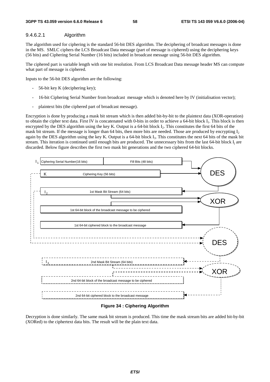#### 9.4.6.2.1 Algorithm

The algorithm used for ciphering is the standard 56-bit DES algorithm. The deciphering of broadcast messages is done in the MS. SMLC ciphers the LCS Broadcast Data message (part of message is ciphered) using the deciphering keys (56 bits) and Ciphering Serial Number (16 bits) included in broadcast message using 56-bit DES algorithm.

The ciphered part is variable length with one bit resolution. From LCS Broadcast Data message header MS can compute what part of message is ciphered.

Inputs to the 56-bit DES algorithm are the following:

- 56-bit key K (deciphering key);
- 16-bit Ciphering Serial Number from broadcast message which is denoted here by IV (initialisation vector);
- plaintext bits (the ciphered part of broadcast message).

Encryption is done by producing a mask bit stream which is then added bit-by-bit to the plaintext data (XOR-operation) to obtain the cipher text data. First IV is concatenated with 0-bits in order to achieve a 64-bit block I<sub>1</sub>. This block is then encrypted by the DES algorithm using the key K. Output is a 64-bit block I<sub>2</sub>. This constitutes the first 64 bits of the mask bit stream. If the message is longer than 64 bits, then more bits are needed. Those are produced by encrypting  $I_2$ again by the DES algorithm using the key K. Output is a 64-bit block  $I_3$ . This constitutes the next 64 bits of the mask bit stream. This iteration is continued until enough bits are produced. The unnecessary bits from the last 64-bit block I<sub>i</sub> are discarded. Below figure describes the first two mask bit generations and the two ciphered 64-bit blocks.



#### **Figure 34 : Ciphering Algorithm**

Decryption is done similarly. The same mask bit stream is produced. This time the mask stream bits are added bit-by-bit (XORed) to the ciphertext data bits. The result will be the plain text data.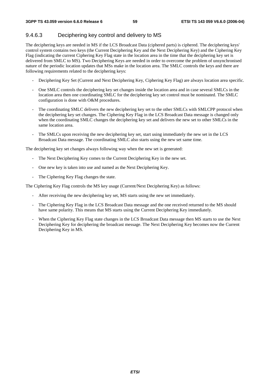## 9.4.6.3 Deciphering key control and delivery to MS

The deciphering keys are needed in MS if the LCS Broadcast Data (ciphered parts) is ciphered. The deciphering keys' control system contains two keys (the Current Deciphering Key and the Next Deciphering Key) and the Ciphering Key Flag (indicating the current Ciphering Key Flag state in the location area in the time that the deciphering key set is delivered from SMLC to MS). Two Deciphering Keys are needed in order to overcome the problem of unsynchronised nature of the periodic location updates that MSs make in the location area. The SMLC controls the keys and there are following requirements related to the deciphering keys:

- Deciphering Key Set (Current and Next Deciphering Key, Ciphering Key Flag) are always location area specific.
- One SMLC controls the deciphering key set changes inside the location area and in case several SMLCs in the location area then one coordinating SMLC for the deciphering key set control must be nominated. The SMLC configuration is done with O&M procedures.
- The coordinating SMLC delivers the new deciphering key set to the other SMLCs with SMLCPP protocol when the deciphering key set changes. The Ciphering Key Flag in the LCS Broadcast Data message is changed only when the coordinating SMLC changes the deciphering key set and delivers the new set to other SMLCs in the same location area.
- The SMLCs upon receiving the new deciphering key set, start using immediately the new set in the LCS Broadcast Data message. The coordinating SMLC also starts using the new set same time.

The deciphering key set changes always following way when the new set is generated:

- The Next Deciphering Key comes to the Current Deciphering Key in the new set.
- One new key is taken into use and named as the Next Deciphering Key.
- The Ciphering Key Flag changes the state.

The Ciphering Key Flag controls the MS key usage (Current/Next Deciphering Key) as follows:

- After receiving the new deciphering key set, MS starts using the new set immediately.
- The Ciphering Key Flag in the LCS Broadcast Data message and the one received returned to the MS should have same polarity. This means that MS starts using the Current Deciphering Key immediately.
- When the Ciphering Key Flag state changes in the LCS Broadcast Data message then MS starts to use the Next Deciphering Key for deciphering the broadcast message. The Next Deciphering Key becomes now the Current Deciphering Key in MS.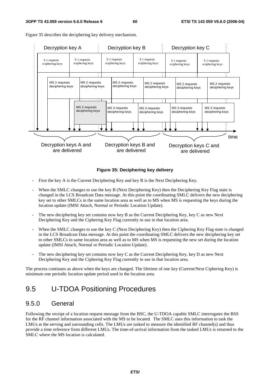

Figure 35 describes the deciphering key delivery mechanism.

#### **Figure 35: Deciphering key delivery**

- First the key A is the Current Deciphering Key and key B is the Next Deciphering Key.
- When the SMLC changes to use the key B (Next Deciphering Key) then the Deciphering Key Flag state is changed in the LCS Broadcast Data message. At this point the coordinating SMLC delivers the new deciphering key set to other SMLCs in the same location area as well as to MS when MS is requesting the keys during the location update (IMSI Attach, Normal or Periodic Location Update).
- The new deciphering key set contains now key B as the Current Deciphering Key, key C as new Next Deciphering Key and the Ciphering Key Flag currently in use in that location area.
- When the SMLC changes to use the key C (Next Deciphering Key) then the Ciphering Key Flag state is changed in the LCS Broadcast Data message. At this point the coordinating SMLC delivers the new deciphering key set to other SMLCs in same location area as well as to MS when MS is requesting the new set during the location update (IMSI Attach, Normal or Periodic Location Update).
- The new deciphering key set contains now key C as the Current Deciphering Key, key D as new Next Deciphering Key and the Ciphering Key Flag currently in use in that location area.

The process continues as above when the keys are changed. The lifetime of one key (Current/Next Ciphering Key) is minimum one periodic location update period used in the location area.

## 9.5 U-TDOA Positioning Procedures

### 9.5.0 General

Following the receipt of a location request message from the BSC, the U-TDOA capable SMLC interrogates the BSS for the RF channel information associated with the MS to be located. The SMLC uses this information to task the LMUs at the serving and surrounding cells. The LMUs are tasked to measure the identified RF channel(s) and thus provide a time reference from different LMUs. The time-of-arrival information from the tasked LMUs is returned to the SMLC where the MS location is calculated.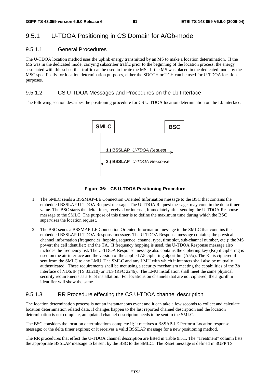## 9.5.1 U-TDOA Positioning in CS Domain for A/Gb-mode

#### 9.5.1.1 General Procedures

The U-TDOA location method uses the uplink energy transmitted by an MS to make a location determination. If the MS was in the dedicated mode, carrying subscriber traffic prior to the beginning of the location process, the energy associated with this subscriber traffic can be used to locate the MS. If the MS was placed in the dedicated mode by the MSC specifically for location determination purposes, either the SDCCH or TCH can be used for U-TDOA location purposes.

#### 9.5.1.2 CS U-TDOA Messages and Procedures on the Lb Interface

The following section describes the positioning procedure for CS U-TDOA location determination on the Lb interface.



**Figure 36: CS U-TDOA Positioning Procedure** 

- 1. The SMLC sends a BSSMAP-LE Connection Oriented Information message to the BSC that contains the embedded BSSLAP U-TDOA Request message. The U-TDOA Request message may contain the delta timer value. The BSC starts the delta timer, received or internal, immediately after sending the U-TDOA Response message to the SMLC. The purpose of this timer is to define the maximum time during which the BSC supervises the location request.
- 2. The BSC sends a BSSMAP-LE Connection Oriented Information message to the SMLC that contains the embedded BSSLAP U-TDOA Response message. The U-TDOA Response message contains; the physical channel information (frequencies, hopping sequence, channel type, time slot, sub-channel number, etc.); the MS power; the cell identifier; and the TA. If frequency hopping is used, the U-TDOA Response message also includes the frequency list. The U-TDOA Response message also contains the ciphering key (Kc) if ciphering is used on the air interface and the version of the applied A5 ciphering algorithm (A5/x). The Kc is ciphered if sent from the SMLC to any LMU. The SMLC and any LMU with which it interacts shall also be mutually authenticated. These requirements shall be met using a security mechanism meeting the capabilities of the Zb interface of NDS/IP (TS 33.210) or TLS (RFC 2246). The LMU installation shall meet the same physical security requirements as a BTS installation. For locations on channels that are not ciphered, the algorithm identifier will show the same.

### 9.5.1.3 RR Procedure effecting the CS U-TDOA channel description

The location determination process is not an instantaneous event and it can take a few seconds to collect and calculate location determination related data. If changes happen to the last reported channel description and the location determination is not complete, an updated channel description needs to be sent to the SMLC.

The BSC considers the location determinations complete if; it receives a BSSAP-LE Perform Location response message; or the delta timer expires; or it receives a valid BSSLAP message for a new positioning method.

The RR procedures that effect the U-TDOA channel description are listed in Table 9.5.1. The "Treatment" column lists the appropriate BSSLAP message to be sent by the BSC to the SMLC. The Reset message is defined in 3GPP TS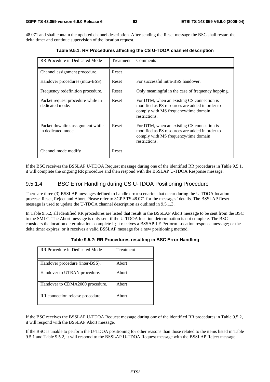48.071 and shall contain the updated channel description. After sending the Reset message the BSC shall restart the delta timer and continue supervision of the location request.

| RR Procedure in Dedicated Mode                        | Treatment | Comments                                                                                                                                              |
|-------------------------------------------------------|-----------|-------------------------------------------------------------------------------------------------------------------------------------------------------|
| Channel assignment procedure.                         | Reset     |                                                                                                                                                       |
| Handover procedures (intra-BSS).                      | Reset     | For successful intra-BSS handover.                                                                                                                    |
| Frequency redefinition procedure.                     | Reset     | Only meaningful in the case of frequency hopping.                                                                                                     |
| Packet request procedure while in<br>dedicated mode.  | Reset     | For DTM, when an existing CS connection is<br>modified as PS resources are added in order to<br>comply with MS frequency/time domain<br>restrictions. |
| Packet downlink assignment while<br>in dedicated mode | Reset     | For DTM, when an existing CS connection is<br>modified as PS resources are added in order to<br>comply with MS frequency/time domain<br>restrictions. |
| Channel mode modify                                   | Reset     |                                                                                                                                                       |

**Table 9.5.1: RR Procedures affecting the CS U-TDOA channel description** 

If the BSC receives the BSSLAP U-TDOA Request message during one of the identified RR procedures in Table 9.5.1, it will complete the ongoing RR procedure and then respond with the BSSLAP U-TDOA Response message.

#### 9.5.1.4 BSC Error Handling during CS U-TDOA Positioning Procedure

There are three (3) BSSLAP messages defined to handle error scenarios that occur during the U-TDOA location process: Reset, Reject and Abort. Please refer to 3GPP TS 48.071 for the messages' details. The BSSLAP Reset message is used to update the U-TDOA channel description as outlined in 9.5.1.3.

In Table 9.5.2, all identified RR procedures are listed that result in the BSSLAP Abort message to be sent from the BSC to the SMLC. The Abort message is only sent if the U-TDOA location determination is not complete. The BSC considers the location determinations complete if; it receives a BSSAP-LE Perform Location response message; or the delta timer expires; or it receives a valid BSSLAP message for a new positioning method.

| RR Procedure in Dedicated Mode   | Treatment |
|----------------------------------|-----------|
| Handover procedure (inter-BSS).  | Abort     |
| Handover to UTRAN procedure.     | Abort     |
| Handover to CDMA2000 procedure.  | Abort     |
| RR connection release procedure. | Abort     |

| Table 9.5.2: RR Procedures resulting in BSC Error Handling |  |  |
|------------------------------------------------------------|--|--|
|                                                            |  |  |

If the BSC receives the BSSLAP U-TDOA Request message during one of the identified RR procedures in Table 9.5.2, it will respond with the BSSLAP Abort message.

If the BSC is unable to perform the U-TDOA positioning for other reasons than those related to the items listed in Table 9.5.1 and Table 9.5.2, it will respond to the BSSLAP U-TDOA Request message with the BSSLAP Reject message.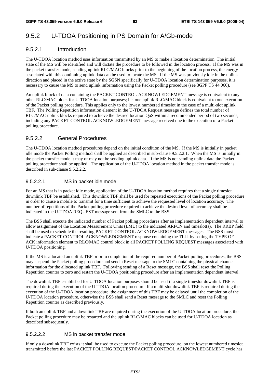## 9.5.2 U-TDOA Positioning in PS Domain for A/Gb-mode

### 9.5.2.1 Introduction

The U-TDOA location method uses information transmitted by an MS to make a location determination. The initial state of the MS will be identified and will dictate the procedure to be followed in the location process. If the MS was in the packet transfer mode, sending uplink RLC/MAC blocks prior to the beginning of the location process, the energy associated with this continuing uplink data can be used to locate the MS. If the MS was previously idle in the uplink direction and placed in the active state by the SGSN specifically for U-TDOA location determination purposes, it is necessary to cause the MS to send uplink information using the Packet polling procedure (see 3GPP TS 44.060).

An uplink block of data containing the PACKET CONTROL ACKNOWLEDGEMENT message is equivalent to any other RLC/MAC block for U-TDOA location purposes; i.e. one uplink RLC/MAC block is equivalent to one execution of the Packet polling procedure. This applies only to the lowest numbered timeslot in the case of a multi-slot uplink TBF. The Polling Repetition information element in the U-TDOA Request message defines the total number of RLC/MAC uplink blocks required to achieve the desired location QoS within a recommended period of two seconds, including any PACKET CONTROL ACKNOWLEDGEMENT message received due to the execution of a Packet polling procedure.

### 9.5.2.2 General Procedures

The U-TDOA location method procedures depend on the initial condition of the MS. If the MS is initially in packet idle mode the Packet Polling method shall be applied as described in sub-clause 9.5.2.2.1. When the MS is initially in the packet transfer mode it may or may not be sending uplink data. If the MS is not sending uplink data the Packet polling procedure shall be applied. The application of the U-TDOA location method in the packet transfer mode is described in sub-clause 9.5.2.2.2.

### 9.5.2.2.1 MS in packet idle mode

For an MS that is in packet idle mode, application of the U-TDOA location method requires that a single timeslot downlink TBF be established. This downlink TBF shall be used for repeated executions of the Packet polling procedure in order to cause a mobile to transmit for a time sufficient to achieve the requested level of location accuracy. The number of repetitions of the Packet polling procedure required to achieve the desired level of accuracy shall be indicated in the U-TDOA REQUEST message sent from the SMLC to the BSS.

The BSS shall execute the indicated number of Packet polling procedures after an implementation dependent interval to allow assignment of the Location Measurement Units (LMU) to the indicated ARFCN and timeslot(s). The RRBP field shall be used to schedule the resulting PACKET CONTROL ACKNOWLEDGEMENT messages. The BSS must indicate a PACKET CONTROL ACKNOWLEDGEMENT response containing the TLLI by setting the TYPE OF ACK information element to RLC/MAC control block in all PACKET POLLING REQUEST messages associated with U-TDOA positioning.

If the MS is allocated an uplink TBF prior to completion of the required number of Packet polling procedures, the BSS may suspend the Packet polling procedure and send a Reset message to the SMLC containing the physical channel information for the allocated uplink TBF. Following sending of a Reset message, the BSS shall reset the Polling Repetition counter to zero and restart the U-TDOA positioning procedure after an implementation dependent interval.

The downlink TBF established for U-TDOA location purposes should be used if a single timeslot downlink TBF is required during the execution of the U-TDOA location procedure. If a multi-slot downlink TBF is required during the execution of the U-TDOA location procedure, the assignment of this TBF may be delayed until the completion of the U-TDOA location procedure, otherwise the BSS shall send a Reset message to the SMLC and reset the Polling Repetition counter as described previously.

If both an uplink TBF and a downlink TBF are required during the execution of the U-TDOA location procedure, the Packet polling procedure may be restarted and the uplink RLC/MAC blocks can be used for U-TDOA location as described subsequently.

### 9.5.2.2.2 MS in packet transfer mode

If only a downlink TBF exists it shall be used to execute the Packet polling procedure, on the lowest numbered timeslot transmitted before the last PACKET POLLING REQUEST/PACKET CONTROL ACKNOWLEDGEMENT cycle has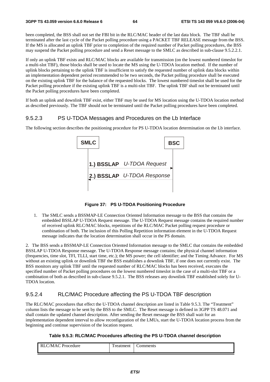been completed, the BSS shall not set the FBI bit in the RLC/MAC header of the last data block. The TBF shall be terminated after the last cycle of the Packet polling procedure using a PACKET TBF RELEASE message from the BSS. If the MS is allocated an uplink TBF prior to completion of the required number of Packet polling procedures, the BSS may suspend the Packet polling procedure and send a Reset message to the SMLC as described in sub-clause 9.5.2.2.1.

If only an uplink TBF exists and RLC/MAC blocks are available for transmission (on the lowest numbered timeslot for a multi-slot TBF), those blocks shall be used to locate the MS using the U-TDOA location method. If the number of uplink blocks pertaining to the uplink TBF is insufficient to satisfy the requested number of uplink data blocks within an implementation dependent period recommended to be two seconds, the Packet polling procedure shall be executed on the existing uplink TBF for the balance of the requested blocks. The lowest numbered timeslot shall be used for the Packet polling procedure if the existing uplink TBF is a multi-slot TBF. The uplink TBF shall not be terminated until the Packet polling procedures have been completed.

If both an uplink and downlink TBF exist, either TBF may be used for MS location using the U-TDOA location method as described previously. The TBF should not be terminated until the Packet polling procedures have been completed.

#### 9.5.2.3 PS U-TDOA Messages and Procedures on the Lb Interface

The following section describes the positioning procedure for PS U-TDOA location determination on the Lb interface.



**Figure 37: PS U-TDOA Positioning Procedure** 

1. The SMLC sends a BSSMAP-LE Connection Oriented Information message to the BSS that contains the embedded BSSLAP U-TDOA Request message. The U-TDOA Request message contains the required number of received uplink RLC/MAC blocks, repetitions of the RLC/MAC Packet polling request procedure or combination of both. The inclusion of this Polling Repetition information element in the U-TDOA Request message indicates that the location determination shall occur in the PS domain.

2. The BSS sends a BSSMAP-LE Connection Oriented Information message to the SMLC that contains the embedded BSSLAP U-TDOA Response message. The U-TDOA Response message contains; the physical channel information (frequencies, time slot, TFI, TLLI, start time, etc.); the MS power; the cell identifier; and the Timing Advance. For MS without an existing uplink or downlink TBF the BSS establishes a downlink TBF, if one does not currently exist. The BSS monitors any uplink TBF until the requested number of RLC/MAC blocks has been received, executes the specified number of Packet polling procedures on the lowest numbered timeslot in the case of a multi-slot TBF or a combination of both as described in sub-clause 9.5.2.1. The BSS releases any downlink TBF established solely for U-TDOA location.

### 9.5.2.4 RLC/MAC Procedure affecting the PS U-TDOA TBF description

The RLC/MAC procedures that effect the U-TDOA channel description are listed in Table 9.5.3. The "Treatment" column lists the message to be sent by the BSS to the SMLC. The Reset message is defined in 3GPP TS 48.071 and shall contain the updated channel description. After sending the Reset message the BSS shall wait for an implementation dependent interval to allow reconfiguration of the LMUs, start the U-TDOA location process from the beginning and continue supervision of the location request.

#### **Table 9.5.3: RLC/MAC Procedures affecting the PS U-TDOA channel description**

| Procedure<br>/MAC | m<br>reatment | -<br>omments |
|-------------------|---------------|--------------|
|-------------------|---------------|--------------|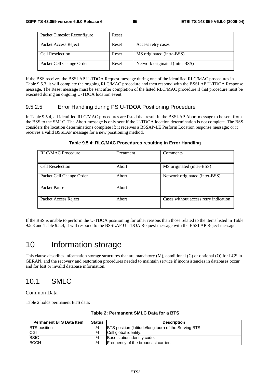| Packet Timeslot Reconfigure | Reset |                                |
|-----------------------------|-------|--------------------------------|
| Packet Access Reject        | Reset | Access retry cases             |
| Cell Reselection            | Reset | MS originated (intra-BSS)      |
| Packet Cell Change Order    | Reset | Network originated (intra-BSS) |

If the BSS receives the BSSLAP U-TDOA Request message during one of the identified RLC/MAC procedures in Table 9.5.3, it will complete the ongoing RLC/MAC procedure and then respond with the BSSLAP U-TDOA Response message. The Reset message must be sent after completion of the listed RLC/MAC procedure if that procedure must be executed during an ongoing U-TDOA location event.

### 9.5.2.5 Error Handling during PS U-TDOA Positioning Procedure

In Table 9.5.4, all identified RLC/MAC procedures are listed that result in the BSSLAP Abort message to be sent from the BSS to the SMLC. The Abort message is only sent if the U-TDOA location determination is not complete. The BSS considers the location determinations complete if; it receives a BSSAP-LE Perform Location response message; or it receives a valid BSSLAP message for a new positioning method.

#### **Table 9.5.4: RLC/MAC Procedures resulting in Error Handling**

| <b>RLC/MAC Procedure</b> | Treatment | Comments                              |
|--------------------------|-----------|---------------------------------------|
| Cell Reselection         | Abort     | MS originated (inter-BSS)             |
| Packet Cell Change Order | Abort     | Network originated (inter-BSS)        |
| Packet Pause             | Abort     |                                       |
| Packet Access Reject     | Abort     | Cases without access retry indication |

If the BSS is unable to perform the U-TDOA positioning for other reasons than those related to the items listed in Table 9.5.3 and Table 9.5.4, it will respond to the BSSLAP U-TDOA Request message with the BSSLAP Reject message.

## 10 Information storage

This clause describes information storage structures that are mandatory (M), conditional (C) or optional (O) for LCS in GERAN, and the recovery and restoration procedures needed to maintain service if inconsistencies in databases occur and for lost or invalid database information.

## 10.1 SMLC

Common Data

Table 2 holds permanent BTS data:

| <b>Permanent BTS Data Item</b> | <b>Status</b> | <b>Description</b>                                          |
|--------------------------------|---------------|-------------------------------------------------------------|
| <b>BTS</b> position            | М             | <b>BTS</b> position (latitude/longitude) of the Serving BTS |
| CGI                            | М             | Cell global identity.                                       |
| <b>BSIC</b>                    | M             | Base station identity code.                                 |
| <b>BCCH</b>                    | M             | Frequency of the broadcast carrier.                         |

#### **Table 2: Permanent SMLC Data for a BTS**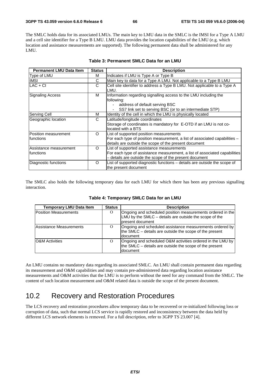The SMLC holds data for its associated LMUs. The main key to LMU data in the SMLC is the IMSI for a Type A LMU and a cell site identifier for a Type B LMU. LMU data provides the location capabilities of the LMU (e.g. which location and assistance measurements are supported). The following permanent data shall be administered for any LMU.

| <b>Permanent LMU Data Item</b>       | <b>Status</b> | <b>Description</b>                                                                                                                                                                 |
|--------------------------------------|---------------|------------------------------------------------------------------------------------------------------------------------------------------------------------------------------------|
| Type of LMU                          | M             | Indicates if LMU is Type A or Type B                                                                                                                                               |
| <b>IMSI</b>                          | С             | Main key to data for a Type A LMU. Not applicable to a Type B LMU                                                                                                                  |
| $LAC + CI$                           | С             | Cell site identifier to address a Type B LMU. Not applicable to a Type A<br>LMU.                                                                                                   |
| Signaling Access                     | M             | Information regarding signalling access to the LMU including the<br>following:<br>address of default serving BSC<br>SS7 link set to serving BSC (or to an intermediate STP)        |
| Serving Cell                         | м             | Identity of the cell in which the LMU is physically located                                                                                                                        |
| Geographic location                  | С             | Latitude/longitude coordinates<br>Storage of coordinates is mandatory for E-OTD if an LMU is not co-<br>located with a BTS                                                         |
| Position measurement<br>Ifunctions   | O             | List of supported position measurements<br>For each type of position measurement, a list of associated capabilities -<br>details are outside the scope of the present document     |
| Assistance measurement<br>Ifunctions | $\Omega$      | List of supported assistance measurements<br>For each type of assistance measurement, a list of associated capabilities<br>- details are outside the scope of the present document |
| Diagnostic functions                 | O             | List of supported diagnostic functions – details are outside the scope of<br>the present document                                                                                  |

#### **Table 3: Permanent SMLC Data for an LMU**

The SMLC also holds the following temporary data for each LMU for which there has been any previous signalling interaction.

| <b>Temporary LMU Data Item</b> | <b>Status</b> | <b>Description</b>                                                                                                                       |
|--------------------------------|---------------|------------------------------------------------------------------------------------------------------------------------------------------|
| <b>Position Measurements</b>   | $\Omega$      | Ongoing and scheduled position measurements ordered in the<br>LMU by the SMLC - details are outside the scope of the<br>present document |
| Assistance Measurements        | $\Omega$      | Ongoing and scheduled assistance measurements ordered by<br>the SMLC – details are outside the scope of the present<br>Idocument         |
| <b>O&amp;M Activities</b>      | $\Omega$      | Ongoing and scheduled O&M activities ordered in the LMU by<br>the SMLC – details are outside the scope of the present<br>document        |

**Table 4: Temporary SMLC Data for an LMU** 

An LMU contains no mandatory data regarding its associated SMLC. An LMU shall contain permanent data regarding its measurement and O&M capabilities and may contain pre-administered data regarding location assistance measurements and O&M activities that the LMU is to perform without the need for any command from the SMLC. The content of such location measurement and O&M related data is outside the scope of the present document.

## 10.2 Recovery and Restoration Procedures

The LCS recovery and restoration procedures allow temporary data to be recovered or re-initialized following loss or corruption of data, such that normal LCS service is rapidly restored and inconsistency between the data held by different LCS network elements is removed. For a full description, refer to 3GPP TS 23.007 [4].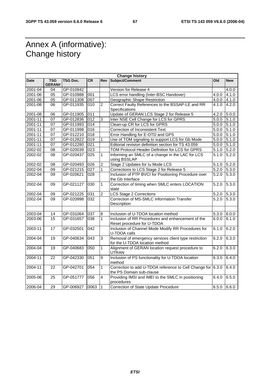## Annex A (informative): Change history

| <b>Change history</b> |                      |           |                  |                |                                                                                         |            |            |
|-----------------------|----------------------|-----------|------------------|----------------|-----------------------------------------------------------------------------------------|------------|------------|
| Date                  | <b>TSG</b><br>GERAN# | TSG Doc.  | <b>CR</b>        | <b>Rev</b>     | Subject/Comment                                                                         | <b>Old</b> | <b>New</b> |
| 2001-04               | 04                   | GP-010942 |                  |                | Version for Release 4                                                                   |            | 4.0.0      |
| 2001-06               | 05                   | GP-010988 | 001              |                | LCS error handling (Inter-BSC Handover)                                                 | 4.0.0      | 4.1.0      |
| 2001-06               | 05                   | GP-011308 | 007              |                | Geographic Shape Restriction                                                            | 4.0.0      | 4.1.0      |
| 2001-08               | 06                   | GP-011935 | $\overline{010}$ | $\overline{2}$ | Correct Faulty References to the BSSAP-LE and RR<br>Specifications                      | 4.1.0      | 4.2.0      |
| 2001-08               | 06                   | GP-011905 | 011              |                | Update of GERAN LCS Stage 2 for Release 5                                               | 4.2.0      | 5.0.0      |
| 2001-11               | 07                   | GP-012836 | 012              | 3              | Inter NSE Cell Change for LCS for GPRS                                                  | 5.0.0      | 5.1.0      |
| 2001-11               | 07                   | GP-011993 | 014              |                | Clean-up CR for LCS for GPRS                                                            | 5.0.0      | 5.1.0      |
| 2001-11               | 07                   | GP-011998 | 016              |                | Correction of Inconsistent Text                                                         | 5.0.0      | 5.1.0      |
| 2001-11               | 07                   | GP-012210 | 018              |                | Error Handling for E-OTD and GPS                                                        | 5.0.0      | 5.1.0      |
| 2001-11               | 07                   | GP-012822 | 019              | 1              | Use of TOM signaling to support LCS for Gb Mode                                         | 5.0.0      | 5.1.0      |
| 2001-11               | $\overline{07}$      | GP-012280 | $\overline{021}$ |                | Editorial revision definition section for TS 43.059                                     | 5.0.0      | 5.1.0      |
| 2002-02               | 08                   | GP-020039 | 023              |                | TOM Protocol Header Definition for LCS for GPRS                                         | 5.1.0      | 5.2.0      |
| 2002-02               | 08                   | GP-020437 | 025              | 1              | Informing an SMLC of a change in the LAC for LCS<br>using BSSLAP                        | 5.1.0      | 5.2.0      |
| 2002-02               | 08                   | GP-020493 | 026              | $\overline{2}$ | Stage 2 Updates for Iu Mode LCS                                                         | 5.1.0      | 5.2.0      |
| 2002-04               | 09                   | GP-021215 | 027              | $\mathbf{1}$   | Corrections to LCS Stage 2 for Release 5                                                | 5.2.0      | 5.3.0      |
| 2002-04               | 09                   | GP-020621 | 028              |                | Inclusion of PTP BVCI for Positioning Procedure over<br>the Gb Interface                | 5.2.0      | 5.3.0      |
| 2002-04               | 09                   | GP-021127 | 030              | $\mathbf{1}$   | Correction of timing when SMLC enters LOCATION<br>state                                 | 5.2.0      | 5.3.0      |
| 2002-04               | 09                   | GP-021225 | 031              | $\overline{2}$ | <b>LCS Stage 2 Corrections</b>                                                          | 5.2.0      | 5.3.0      |
| 2002-04               | 09                   | GP-020998 | 032              |                | Correction of MS-SMLC Information Transfer<br>Description                               | 5.2.0      | 5.3.0      |
|                       |                      |           |                  |                |                                                                                         |            |            |
| 2003-04               | 14                   | GP-031064 | 037              | 8              | Inclusion of U-TDOA location method                                                     | 5.3.0      | 6.0.0      |
| 2003-06               | $\overline{15}$      | GP-031657 | 038              | $\mathbf{1}$   | Inclusion of RR Procedures and enhancement of the<br>Reset procedure for U-TDOA         | 6.0.0      | 6.1.0      |
| 2003-11               | 17                   | GP-032501 | 042              |                | Inclusion of Channel Mode Modify RR Procedures for<br>U-TDOA calls                      | 6.1.0      | 6.2.0      |
| 2004-04               | 19                   | GP-040634 | 043              | 3              | Removal of emergency services client type restriction<br>for the U-TDOA location method | 6.2.0      | 6.3.0      |
| 2004-04               | 19                   | GP-040683 | 050              | $\mathbf{1}$   | Alignment of GERAN location request procedure to<br><b>UTRAN</b>                        | 6.2.0      | 6.3.0      |
| 2004-11               | 22                   | GP-042330 | 051              | 9              | Inclusion of PS functionality for U-TDOA location<br>method                             | 6.3.0      | 6.4.0      |
| 2004-11               | 22                   | GP-042701 | 054              | $\mathbf{1}$   | Correction to add U-TDOA reference to Cell Change for 6.3.0<br>the PS Domain sub-clause |            | 6.4.0      |
| 2005-06               | $\overline{25}$      | GP-051777 | 056              | $\overline{4}$ | Providing IMSI and IMEI to the SMLC in positioning<br>procedures                        | 6.4.0      | 6.5.0      |
| 2006-04               | 29                   | GP-006927 | 0063             | $\mathbf{1}$   | Correction of State Update Procedure                                                    | 6.5.0      | 6.6.0      |